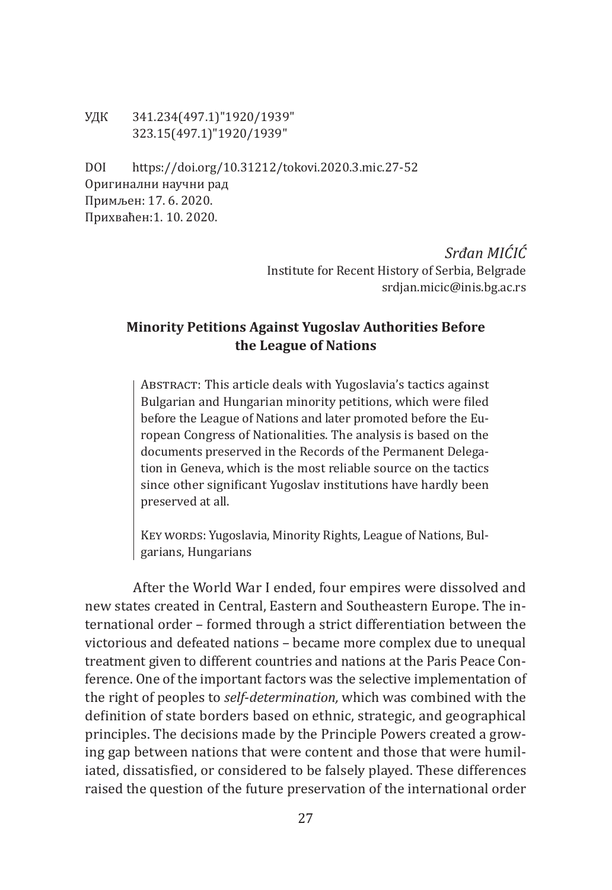УДК 341.234(497.1)"1920/1939" 323.15(497.1)"1920/1939"

DOI https://doi.org/10.31212/tokovi.2020.3.mic.27-52 Оригинални научни рад Примљен: 17. 6. 2020. Прихваћен:1. 10. 2020.

> *Srđan MIĆIĆ* Institute for Recent History of Serbia, Belgrade srdjan.micic@inis.bg.ac.rs

# **Minority Petitions Against Yugoslav Authorities Before the League of Nations**

ABSTRACT: This article deals with Yugoslavia's tactics against Bulgarian and Hungarian minority petitions, which were filed before the League of Nations and later promoted before the European Congress of Nationalities. The analysis is based on the documents preserved in the Records of the Permanent Delegation in Geneva, which is the most reliable source on the tactics since other significant Yugoslav institutions have hardly been preserved at all.

KEY WORDS: Yugoslavia, Minority Rights, League of Nations, Bulgarians, Hungarians

After the World War I ended, four empires were dissolved and new states created in Central, Eastern and Southeastern Europe. The international order – formed through a strict differentiation between the victorious and defeated nations – became more complex due to unequal treatment given to different countries and nations at the Paris Peace Conference. One of the important factors was the selective implementation of the right of peoples to *self*-*determination,* which was combined with the definition of state borders based on ethnic, strategic, and geographical principles. The decisions made by the Principle Powers created a growing gap between nations that were content and those that were humiliated, dissatisfied, or considered to be falsely played. These differences raised the question of the future preservation of the international order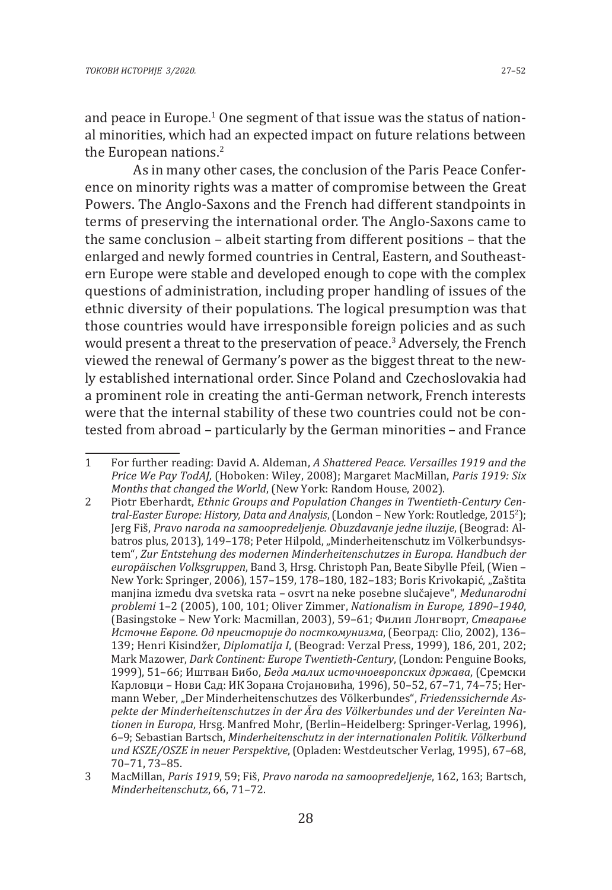and peace in Europe.<sup>1</sup> One segment of that issue was the status of national minorities, which had an expected impact on future relations between the European nations.<sup>2</sup>

As in many other cases, the conclusion of the Paris Peace Conference on minority rights was a matter of compromise between the Great Powers. The Anglo-Saxons and the French had different standpoints in terms of preserving the international order. The Anglo-Saxons came to the same conclusion – albeit starting from different positions – that the enlarged and newly formed countries in Central, Eastern, and Southeastern Europe were stable and developed enough to cope with the complex questions of administration, including proper handling of issues of the ethnic diversity of their populations. The logical presumption was that those countries would have irresponsible foreign policies and as such would present a threat to the preservation of peace.<sup>3</sup> Adversely, the French viewed the renewal of Germany's power as the biggest threat to the newly established international order. Since Poland and Czechoslovakia had a prominent role in creating the anti-German network, French interests were that the internal stability of these two countries could not be contested from abroad – particularly by the German minorities – and France

<sup>1</sup> For further reading: David A. Aldeman, *A Shattered Peace. Versailles 1919 and the Price We Pay TodAJ,* (Hoboken: Wiley, 2008); Margaret MacMillan, *Paris 1919: Six Months that changed the World*, (New York: Random House, 2002).

<sup>2</sup> Piotr Eberhardt, *Ethnic Groups and Population Changes in Twentieth-Century Central-Easter Europe: History, Data and Analysis*, (London – New York: Routledge, 2015<sup>2</sup> ); Jerg Fiš, *Pravo naroda na samoopredeljenje. Obuzdavanje jedne iluzije*, (Beograd: Albatros plus, 2013), 149–178; Peter Hilpold, "Minderheitenschutz im Völkerbundsystem", *Zur Entstehung des modernen Minderheitenschutzes in Europa. Handbuch der europäischen Volksgruppen*, Band 3, Hrsg. Christoph Pan, Beate Sibylle Pfeil, (Wien – New York: Springer, 2006), 157–159, 178–180, 182–183; Boris Krivokapić, "Zaštita manjina između dva svetska rata – osvrt na neke posebne slučajeve", *Međunarodni problemi* 1–2 (2005), 100, 101; Oliver Zimmer, *Nationalism in Europe, 1890–1940*, (Basingstoke – New York: Macmillan, 2003), 59–61; Филип Лонгворт, *Стварање Источне Европе. Од преисторије до посткомунизма*, (Београд: Clio, 2002), 136– 139; Henri Kisindžer, *Diplomatija I*, (Beograd: Verzal Press, 1999), 186, 201, 202; Mark Mazower, *Dark Continent: Europe Twentieth-Century*, (London: Penguine Books, 1999), 51–66; Иштван Бибо, *Беда малих источноевропских држава*, (Сремски Карловци – Нови Сад: ИК Зорана Стојановића, 1996), 50–52, 67–71, 74–75; Hermann Weber, "Der Minderheitenschutzes des Völkerbundes", *Friedenssichernde Aspekte der Minderheitenschutzes in der Ära des Völkerbundes und der Vereinten Nationen in Europa*, Hrsg. Manfred Mohr, (Berlin–Heidelberg: Springer-Verlag, 1996), 6–9; Sebastian Bartsch, *Minderheitenschutz in der internationalen Politik. Völkerbund und KSZE/OSZE in neuer Perspektive*, (Opladen: Westdeutscher Verlag, 1995), 67–68, 70–71, 73–85.

<sup>3</sup> MacMillan, *Paris 1919*, 59; Fiš, *Pravo naroda na samoopredeljenje*, 162, 163; Bartsch, *Minderheitenschutz*, 66, 71–72.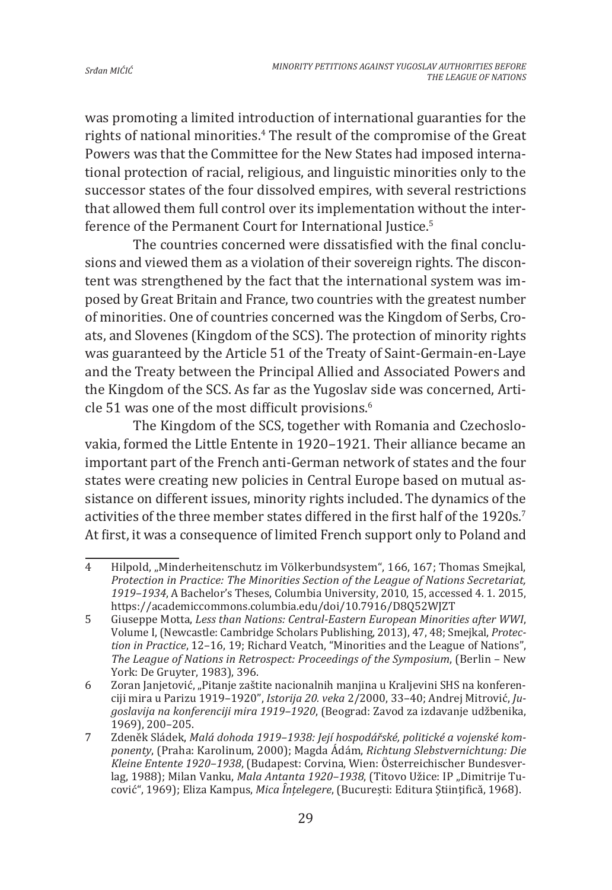was promoting a limited introduction of international guaranties for the rights of national minorities.4 The result of the compromise of the Great Powers was that the Committee for the New States had imposed international protection of racial, religious, and linguistic minorities only to the successor states of the four dissolved empires, with several restrictions that allowed them full control over its implementation without the interference of the Permanent Court for International Justice.<sup>5</sup>

The countries concerned were dissatisfied with the final conclusions and viewed them as a violation of their sovereign rights. The discontent was strengthened by the fact that the international system was imposed by Great Britain and France, two countries with the greatest number of minorities. One of countries concerned was the Kingdom of Serbs, Croats, and Slovenes (Kingdom of the SCS). The protection of minority rights was guaranteed by the Article 51 of the Treaty of Saint-Germain-en-Laye and the Treaty between the Principal Allied and Associated Powers and the Kingdom of the SCS. As far as the Yugoslav side was concerned, Article 51 was one of the most difficult provisions.<sup>6</sup>

The Kingdom of the SCS, together with Romania and Czechoslovakia, formed the Little Entente in 1920–1921. Their alliance became an important part of the French anti-German network of states and the four states were creating new policies in Central Europe based on mutual assistance on different issues, minority rights included. The dynamics of the activities of the three member states differed in the first half of the 1920s.<sup>7</sup> At first, it was a consequence of limited French support only to Poland and

<sup>4</sup> Hilpold, "Minderheitenschutz im Völkerbundsystem", 166, 167; Thomas Smejkal, *Protection in Practice: The Minorities Section of the League of Nations Secretariat, 1919–1934*, A Bachelor's Theses, Columbia University, 2010, 15, accessed 4. 1. 2015, https://academiccommons.columbia.edu/doi/10.7916/D8Q52WJZT

<sup>5</sup> Giuseppe Motta, *Less than Nations: Central-Eastern European Minorities after WWI*, Volume I, (Newcastle: Cambridge Scholars Publishing, 2013), 47, 48; Smejkal, *Protection in Practice*, 12–16, 19; Richard Veatch, "Minorities and the League of Nations", *The League of Nations in Retrospect: Proceedings of the Symposium*, (Berlin – New York: De Gruyter, 1983), 396.

<sup>6</sup> Zoran Janjetović, "Pitanje zaštite nacionalnih manjina u Kraljevini SHS na konferenciji mira u Parizu 1919–1920ˮ, *Istorija 20. veka* 2/2000, 33–40; Andrej Mitrović, *Jugoslavija na konferenciji mira 1919–1920*, (Beograd: Zavod za izdavanje udžbenika, 1969), 200–205.

<sup>7</sup> Zdeněk Sládek, *Malá dohoda 1919–1938: Její hospodářské, politické a vojenské komponenty*, (Praha: Karolinum, 2000); Magda Ádám, *Richtung Slebstvernichtung: Die Kleine Entente 1920–1938*, (Budapest: Corvina, Wien: Österreichischer Bundesverlag, 1988); Milan Vanku, *Mala Antanta 1920-1938*, (Titovo Užice: IP "Dimitrije Tucović", 1969); Eliza Kampus, *Mica Ȋnțelegere*, (București: Editura Ştiinţificǎ, 1968).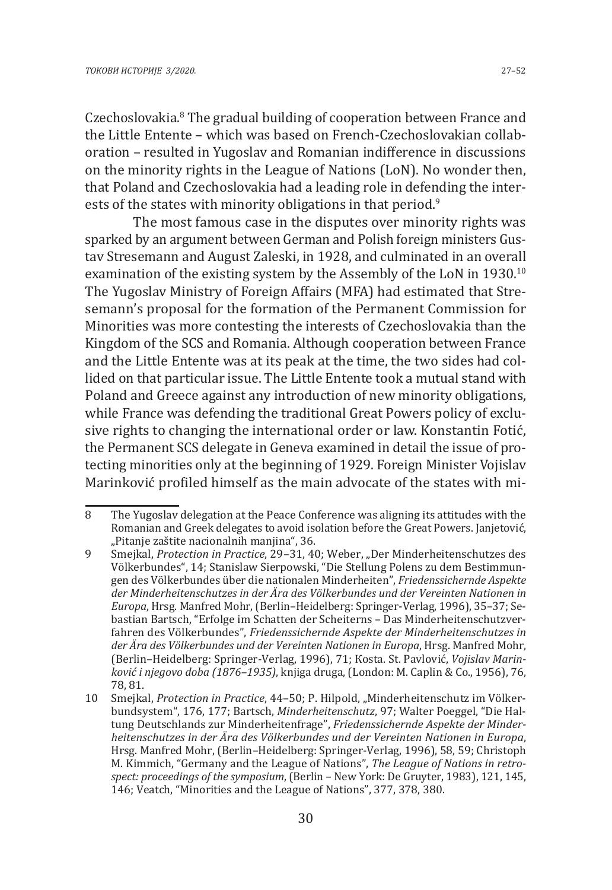Czechoslovakia.<sup>8</sup> The gradual building of cooperation between France and the Little Entente – which was based on French-Czechoslovakian collaboration – resulted in Yugoslav and Romanian indifference in discussions on the minority rights in the League of Nations (LoN). No wonder then, that Poland and Czechoslovakia had a leading role in defending the interests of the states with minority obligations in that period.<sup>9</sup>

The most famous case in the disputes over minority rights was sparked by an argument between German and Polish foreign ministers Gustav Stresemann and August Zaleski, in 1928, and culminated in an overall examination of the existing system by the Assembly of the LoN in 1930.<sup>10</sup> The Yugoslav Ministry of Foreign Affairs (MFA) had estimated that Stresemann's proposal for the formation of the Permanent Commission for Minorities was more contesting the interests of Czechoslovakia than the Kingdom of the SCS and Romania. Although cooperation between France and the Little Entente was at its peak at the time, the two sides had collided on that particular issue. The Little Entente took a mutual stand with Poland and Greece against any introduction of new minority obligations, while France was defending the traditional Great Powers policy of exclusive rights to changing the international order or law. Konstantin Fotić, the Permanent SCS delegate in Geneva examined in detail the issue of protecting minorities only at the beginning of 1929. Foreign Minister Vojislav Marinković profiled himself as the main advocate of the states with mi-

<sup>8</sup> The Yugoslav delegation at the Peace Conference was aligning its attitudes with the Romanian and Greek delegates to avoid isolation before the Great Powers. Janjetović, "Pitanje zaštite nacionalnih manjina", 36.

<sup>9</sup> Smejkal, *Protection in Practice*, 29–31, 40; Weber, "Der Minderheitenschutzes des Völkerbundes", 14; Stanislaw Sierpowski, "Die Stellung Polens zu dem Bestimmungen des Völkerbundes über die nationalen Minderheiten", *Friedenssichernde Aspekte der Minderheitenschutzes in der Ära des Völkerbundes und der Vereinten Nationen in Europa*, Hrsg. Manfred Mohr, (Berlin–Heidelberg: Springer-Verlag, 1996), 35–37; Sebastian Bartsch, "Erfolge im Schatten der Scheiterns – Das Minderheitenschutzverfahren des Völkerbundes", *Friedenssichernde Aspekte der Minderheitenschutzes in der Ära des Völkerbundes und der Vereinten Nationen in Europa*, Hrsg. Manfred Mohr, (Berlin–Heidelberg: Springer-Verlag, 1996), 71; Кosta. St. Pavlović, *Vojislav Marinković i njegovo doba (1876–1935)*, knjiga druga, (London: M. Caplin & Co., 1956), 76, 78, 81.

<sup>10</sup> Smejkal, *Protection in Practice*, 44-50; P. Hilpold, "Minderheitenschutz im Völkerbundsystem", 176, 177; Bartsch, *Minderheitenschutz*, 97; Walter Poeggel, "Die Haltung Deutschlands zur Minderheitenfrage", *Friedenssichernde Aspekte der Minderheitenschutzes in der Ära des Völkerbundes und der Vereinten Nationen in Europa*, Hrsg. Manfred Mohr, (Berlin–Heidelberg: Springer-Verlag, 1996), 58, 59; Christoph M. Kimmich, "Germany and the League of Nations", *The League of Nations in retrospect: proceedings of the symposium*, (Berlin – New York: De Gruyter, 1983), 121, 145, 146; Veatch, "Minorities and the League of Nations", 377, 378, 380.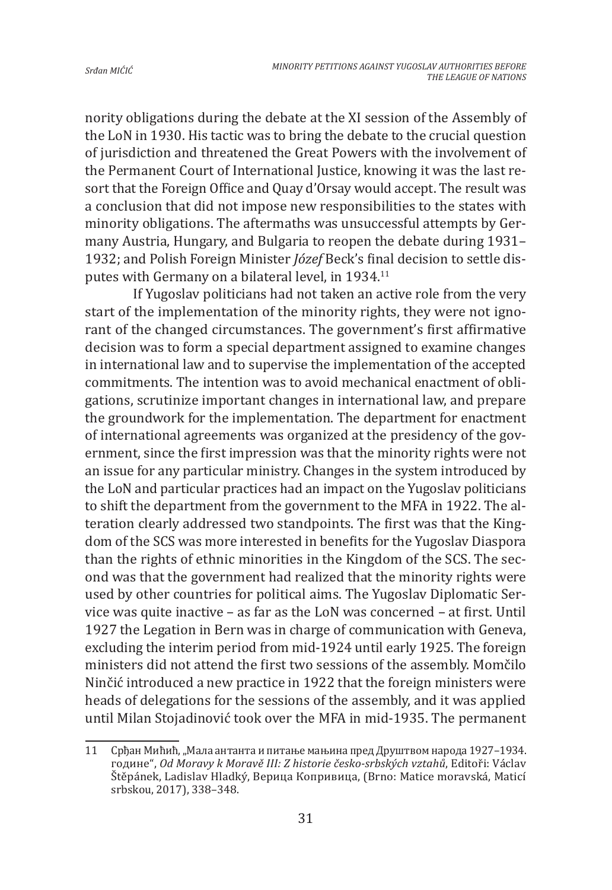nority obligations during the debate at the XI session of the Assembly of the LoN in 1930. His tactic was to bring the debate to the crucial question of jurisdiction and threatened the Great Powers with the involvement of the Permanent Court of International Justice, knowing it was the last resort that the Foreign Office and Quay d'Orsay would accept. The result was a conclusion that did not impose new responsibilities to the states with minority obligations. The aftermaths was unsuccessful attempts by Germany Austria, Hungary, and Bulgaria to reopen the debate during 1931– 1932; and Polish Foreign Minister *Józef* Beck's final decision to settle disputes with Germany on a bilateral level, in 1934.11

If Yugoslav politicians had not taken an active role from the very start of the implementation of the minority rights, they were not ignorant of the changed circumstances. The government's first affirmative decision was to form a special department assigned to examine changes in international law and to supervise the implementation of the accepted commitments. The intention was to avoid mechanical enactment of obligations, scrutinize important changes in international law, and prepare the groundwork for the implementation. The department for enactment of international agreements was organized at the presidency of the government, since the first impression was that the minority rights were not an issue for any particular ministry. Changes in the system introduced by the LoN and particular practices had an impact on the Yugoslav politicians to shift the department from the government to the MFA in 1922. The alteration clearly addressed two standpoints. The first was that the Kingdom of the SCS was more interested in benefits for the Yugoslav Diaspora than the rights of ethnic minorities in the Kingdom of the SCS. The second was that the government had realized that the minority rights were used by other countries for political aims. The Yugoslav Diplomatic Service was quite inactive – as far as the LoN was concerned – at first. Until 1927 the Legation in Bern was in charge of communication with Geneva, excluding the interim period from mid-1924 until early 1925. The foreign ministers did not attend the first two sessions of the assembly. Momčilo Ninčić introduced a new practice in 1922 that the foreign ministers were heads of delegations for the sessions of the assembly, and it was applied until Milan Stojadinović took over the MFA in mid-1935. The permanent

<sup>11</sup> Срђан Мићић, "Мала антанта и питање мањина пред Друштвом народа 1927–1934. године", *Od Moravy k Moravě III: Z historie česko-srbských vztahů*, Editoři: Václav Štěpánek, Ladislav Hladký, Верица Копривица, (Brno: Matice moravská, Maticí srbskou, 2017), 338–348.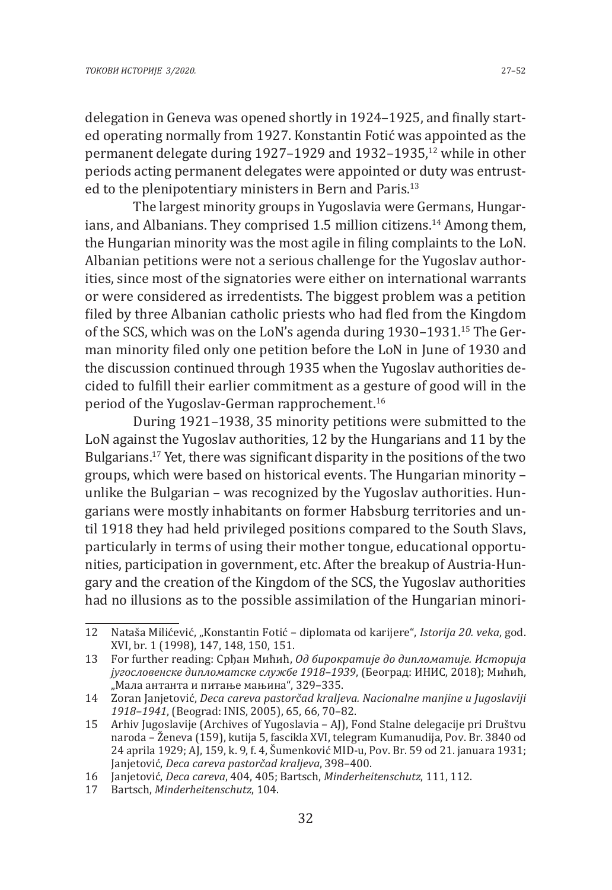delegation in Geneva was opened shortly in 1924–1925, and finally started operating normally from 1927. Konstantin Fotić was appointed as the permanent delegate during 1927–1929 and 1932–1935.<sup>12</sup> while in other periods acting permanent delegates were appointed or duty was entrusted to the plenipotentiary ministers in Bern and Paris.13

The largest minority groups in Yugoslavia were Germans, Hungarians, and Albanians. They comprised 1.5 million citizens.<sup>14</sup> Among them, the Hungarian minority was the most agile in filing complaints to the LoN. Albanian petitions were not a serious challenge for the Yugoslav authorities, since most of the signatories were either on international warrants or were considered as irredentists. The biggest problem was a petition filed by three Albanian catholic priests who had fled from the Kingdom of the SCS, which was on the LoN's agenda during 1930–1931.15 The German minority filed only one petition before the LoN in June of 1930 and the discussion continued through 1935 when the Yugoslav authorities decided to fulfill their earlier commitment as a gesture of good will in the period of the Yugoslav-German rapprochement.<sup>16</sup>

During 1921–1938, 35 minority petitions were submitted to the LoN against the Yugoslav authorities, 12 by the Hungarians and 11 by the Bulgarians.17 Yet, there was significant disparity in the positions of the two groups, which were based on historical events. The Hungarian minority – unlike the Bulgarian – was recognized by the Yugoslav authorities. Hungarians were mostly inhabitants on former Habsburg territories and until 1918 they had held privileged positions compared to the South Slavs, particularly in terms of using their mother tongue, educational opportunities, participation in government, etc. After the breakup of Austria-Hungary and the creation of the Kingdom of the SCS, the Yugoslav authorities had no illusions as to the possible assimilation of the Hungarian minori-

<sup>12</sup> Nataša Milićević, "Konstantin Fotić – diplomata od karijere", *Istorija 20. veka*, god. XVI, br. 1 (1998), 147, 148, 150, 151.

<sup>13</sup> For further reading: Срђан Мићић, *Од бирократије до дипломатије. Историја југословенске дипломатске службе 1918–1939*, (Београд: ИНИС, 2018); Мићић, "Мала антанта и питање мањина", 329–335.

<sup>14</sup> Zoran Janjetović, *Deca careva pastorčad kraljeva. Nacionalne manjine u Jugoslaviji 1918–1941*, (Beograd: INIS, 2005), 65, 66, 70–82.

<sup>15</sup> Arhiv Jugoslavije (Archives of Yugoslavia – AJ), Fond Stalne delegacije pri Društvu naroda – Ženeva (159), kutija 5, fascikla XVI, telegram Kumanudija, Pov. Br. 3840 od 24 aprila 1929; AJ, 159, k. 9, f. 4, Šumenković MID-u, Pov. Br. 59 od 21. januara 1931; Janjetović, *Deca careva pastorčad kraljeva*, 398–400.

<sup>16</sup> Janjetović, *Deca careva*, 404, 405; Bartsch, *Minderheitenschutz*, 111, 112.

<sup>17</sup> Bartsch, *Minderheitenschutz*, 104.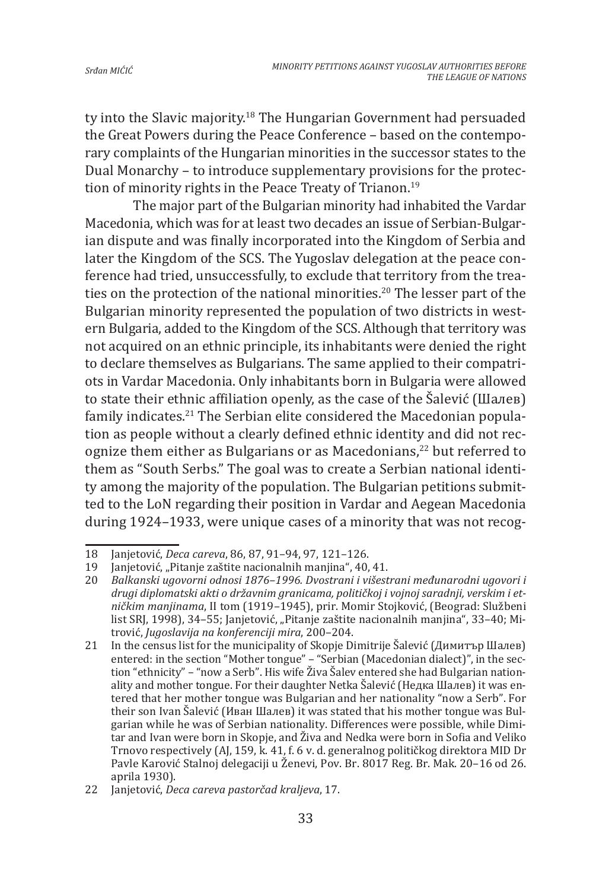ty into the Slavic majority.18 The Hungarian Government had persuaded the Great Powers during the Peace Conference – based on the contemporary complaints of the Hungarian minorities in the successor states to the Dual Monarchy – to introduce supplementary provisions for the protection of minority rights in the Peace Treaty of Trianon.<sup>19</sup>

The major part of the Bulgarian minority had inhabited the Vardar Macedonia, which was for at least two decades an issue of Serbian-Bulgarian dispute and was finally incorporated into the Kingdom of Serbia and later the Kingdom of the SCS. The Yugoslav delegation at the peace conference had tried, unsuccessfully, to exclude that territory from the treaties on the protection of the national minorities.<sup>20</sup> The lesser part of the Bulgarian minority represented the population of two districts in western Bulgaria, added to the Kingdom of the SCS. Although that territory was not acquired on an ethnic principle, its inhabitants were denied the right to declare themselves as Bulgarians. The same applied to their compatriots in Vardar Macedonia. Only inhabitants born in Bulgaria were allowed to state their ethnic affiliation openly, as the case of the Šalević (Шалев) family indicates.<sup>21</sup> The Serbian elite considered the Macedonian population as people without a clearly defined ethnic identity and did not recognize them either as Bulgarians or as Macedonians,<sup>22</sup> but referred to them as "South Serbs." The goal was to create a Serbian national identity among the majority of the population. The Bulgarian petitions submitted to the LoN regarding their position in Vardar and Aegean Macedonia during 1924–1933, were unique cases of a minority that was not recog-

<sup>18</sup> Janjetović, *Deca careva*, 86, 87, 91–94, 97, 121–126.

<sup>19</sup> Janjetović, "Pitanje zaštite nacionalnih manjina", 40, 41.<br>20 Balkanski ugovorni odnosi 1876–1996. Dvostrani i višest

<sup>20</sup> *Balkanski ugovorni odnosi 1876–1996. Dvostrani i višestrani međunarodni ugovori i drugi diplomatski akti o državnim granicama, političkoj i vojnoj saradnji, verskim i etničkim manjinama*, II tom (1919–1945), prir. Momir Stojković, (Beograd: Službeni list SRI, 1998), 34–55; Janjetović, "Pitanje zaštite nacionalnih manjina", 33–40; Mitrović, *Jugoslavija na konferenciji mira*, 200–204.

<sup>21</sup> In the census list for the municipality of Skopje Dimitrije Šalević (Димитър Шалев) entered: in the section "Mother tongue" – "Serbian (Macedonian dialect)", in the section "ethnicity" – "now a Serb". His wife Živa Šalev entered she had Bulgarian nationality and mother tongue. For their daughter Netka Šalević (Недка Шалев) it was entered that her mother tongue was Bulgarian and her nationality "now a Serb". For their son Ivan Šalević (Иван Шалев) it was stated that his mother tongue was Bulgarian while he was of Serbian nationality. Differences were possible, while Dimitar and Ivan were born in Skopje, and Živa and Nedka were born in Sofia and Veliko Trnovo respectively (AJ, 159, k. 41, f. 6 v. d. generalnog političkog direktora MID Dr Pavle Karović Stalnoj delegaciji u Ženevi, Pov. Br. 8017 Reg. Br. Mak. 20–16 od 26. aprila 1930).

<sup>22</sup> Janjetović, *Deca careva pastorčad kraljeva*, 17.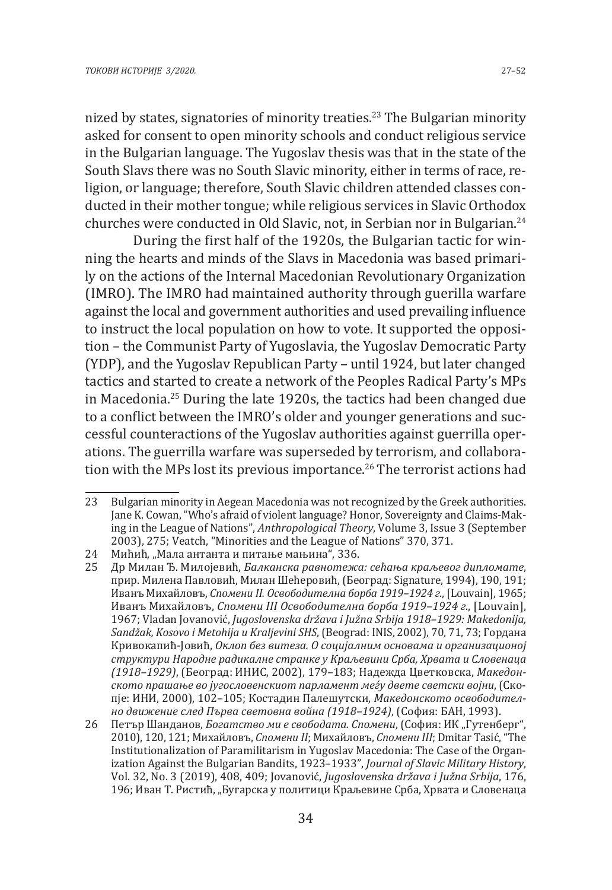nized by states, signatories of minority treaties.<sup>23</sup> The Bulgarian minority asked for consent to open minority schools and conduct religious service in the Bulgarian language. The Yugoslav thesis was that in the state of the South Slavs there was no South Slavic minority, either in terms of race, religion, or language; therefore, South Slavic children attended classes conducted in their mother tongue; while religious services in Slavic Orthodox churches were conducted in Old Slavic, not, in Serbian nor in Bulgarian.<sup>24</sup>

During the first half of the 1920s, the Bulgarian tactic for winning the hearts and minds of the Slavs in Macedonia was based primarily on the actions of the Internal Macedonian Revolutionary Organization (IMRO). The IMRO had maintained authority through guerilla warfare against the local and government authorities and used prevailing influence to instruct the local population on how to vote. It supported the opposition – the Communist Party of Yugoslavia, the Yugoslav Democratic Party (YDP), and the Yugoslav Republican Party – until 1924, but later changed tactics and started to create a network of the Peoples Radical Party's MPs in Macedonia.25 During the late 1920s, the tactics had been changed due to a conflict between the IMRO's older and younger generations and successful counteractions of the Yugoslav authorities against guerrilla operations. The guerrilla warfare was superseded by terrorism, and collaboration with the MPs lost its previous importance.<sup>26</sup> The terrorist actions had

<sup>23</sup> Bulgarian minority in Aegean Macedonia was not recognized by the Greek authorities. Jane K. Cowan, "Who's afraid of violent language? Honor, Sovereignty and Claims-Making in the League of Nations", *Anthropological Theory*, Volume 3, Issue 3 (September 2003), 275; Veatch, "Minorities and the League of Nations" 370, 371.

<sup>24</sup> Мићић, "Мала антанта и питање мањина", 336.<br>25 Ир Милан Ђ. Милојевић. *Балканска равнотежа* 

<sup>25</sup> Др Милан Ђ. Милојевић, *Балканска равнотежа: сећања краљевог дипломате*, прир. Милена Павловић, Милан Шећеровић, (Београд: Signature, 1994), 190, 191; Иванъ Михайловъ, *Спомени II. Освободителна борба 1919–1924 г.*, [Louvain], 1965; Иванъ Михайловъ, *Спомени III Освободителна борба 1919–1924 г.*, [Louvain], 1967; Vladan Jovanović, *Jugoslovenska država i Južna Srbija 1918–1929: Makedonija, Sandžak, Kosovo i Metohija u Kraljevini SHS*, (Beograd: INIS, 2002), 70, 71, 73; Гордана Кривокапић-Јовић, *Оклоп без витеза. О социјалним основама и организационој структури Народне радикалне странке у Краљевини Срба, Хрвата и Словенаца (1918–1929)*, (Београд: ИНИС, 2002), 179–183; Надежда Цветковска, *Македонското прашање во југословенскиот парламент меѓу двете светски војни*, (Скопје: ИНИ, 2000), 102–105; Костадин Палешутски, *Македонското освободително движение след Първа световна война (1918–1924)*, (София: БАН, 1993).

<sup>26</sup> Петър Шанданов, *Богатство ми е свободата. Спомени*, (София: ИК "Гутенберг", 2010), 120, 121; Михайловъ, *Спомени II*; Михайловъ, *Спомени III*; Dmitar Tasić, "The Institutionalization of Paramilitarism in Yugoslav Macedonia: The Case of the Organization Against the Bulgarian Bandits, 1923–1933", *Journal of Slavic Military History*, Vol. 32, No. 3 (2019), 408, 409; Jovanović, *Jugoslovenska država i Južna Srbija*, 176, 196; Иван Т. Ристић, "Бугарска у политици Краљевине Срба, Хрвата и Словенаца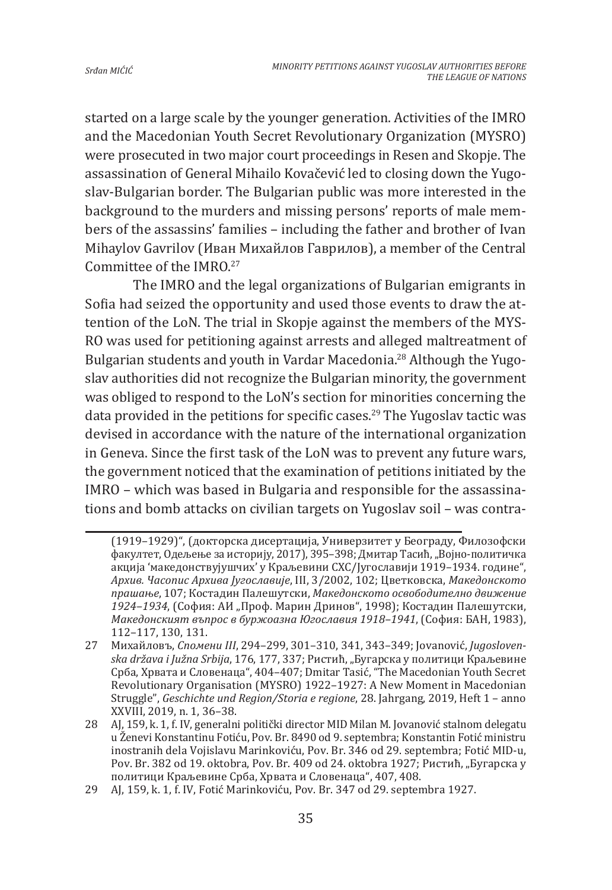started on a large scale by the younger generation. Activities of the IMRO and the Macedonian Youth Secret Revolutionary Organization (MYSRO) were prosecuted in two major court proceedings in Resen and Skopje. The assassination of General Mihailo Kovačević led to closing down the Yugoslav-Bulgarian border. The Bulgarian public was more interested in the background to the murders and missing persons' reports of male members of the assassins' families – including the father and brother of Ivan Mihaylov Gavrilov (Иван Михайлов Гаврилов), a member of the Central Committee of the IMRO.<sup>27</sup>

The IMRO and the legal organizations of Bulgarian emigrants in Sofia had seized the opportunity and used those events to draw the attention of the LoN. The trial in Skopje against the members of the MYS-RO was used for petitioning against arrests and alleged maltreatment of Bulgarian students and youth in Vardar Macedonia.28 Although the Yugoslav authorities did not recognize the Bulgarian minority, the government was obliged to respond to the LoN's section for minorities concerning the data provided in the petitions for specific cases.<sup>29</sup> The Yugoslav tactic was devised in accordance with the nature of the international organization in Geneva. Since the first task of the LoN was to prevent any future wars, the government noticed that the examination of petitions initiated by the IMRO – which was based in Bulgaria and responsible for the assassinations and bomb attacks on civilian targets on Yugoslav soil – was contra-

<sup>(1919–1929)&</sup>quot;, (докторска дисертација, Универзитет у Београду, Филозофски факултет, Одељење за историју, 2017), 395–398; Дмитар Тасић, "Војно-политичка акција 'македонствујушчих' у Краљевини СХС/Југославији 1919–1934. године", *Архив. Часопис Архива Југославије*, III, 3/2002, 102; Цветковска, *Македонското прашање*, 107; Костадин Палешутски, *Македонското освободително движение*  1924–1934, (София: АИ "Проф. Марин Дринов", 1998); Костадин Палешутски, *Македонският въпрос в буржоазна Югославия 1918–1941*, (София: БАН, 1983), 112–117, 130, 131.

<sup>27</sup> Михайловъ, *Спомени III*, 294–299, 301–310, 341, 343–349; Jovanović, *Jugoslovenska država i Južna Srbija*, 176, 177, 337; Ристић, "Бугарска у политици Краљевине Срба, Хрвата и Словенаца", 404–407; Dmitar Tasić, "The Macedonian Youth Secret Revolutionary Organisation (MYSRO) 1922–1927: A New Moment in Macedonian Struggle", *Geschichte und Region/Storia e regione*, 28. Jahrgang, 2019, Heft 1 – anno XXVIII, 2019, n. 1, 36–38.

<sup>28</sup> AJ, 159, k. 1, f. IV, generalni politički director MID Milan M. Jovanović stalnom delegatu u Ženevi Konstantinu Fotiću, Pov. Br. 8490 od 9. septembra; Konstantin Fotić ministru inostranih dela Vojislavu Marinkoviću, Pov. Br. 346 od 29. septembra; Fotić MID-u, Pov. Br. 382 od 19. oktobra, Pov. Br. 409 od 24. oktobra 1927; Ристић, "Бугарска у политици Краљевине Срба, Хрвата и Словенаца", 407, 408.

<sup>29</sup> AJ, 159, k. 1, f. IV, Fotić Marinkoviću, Pov. Br. 347 od 29. septembra 1927.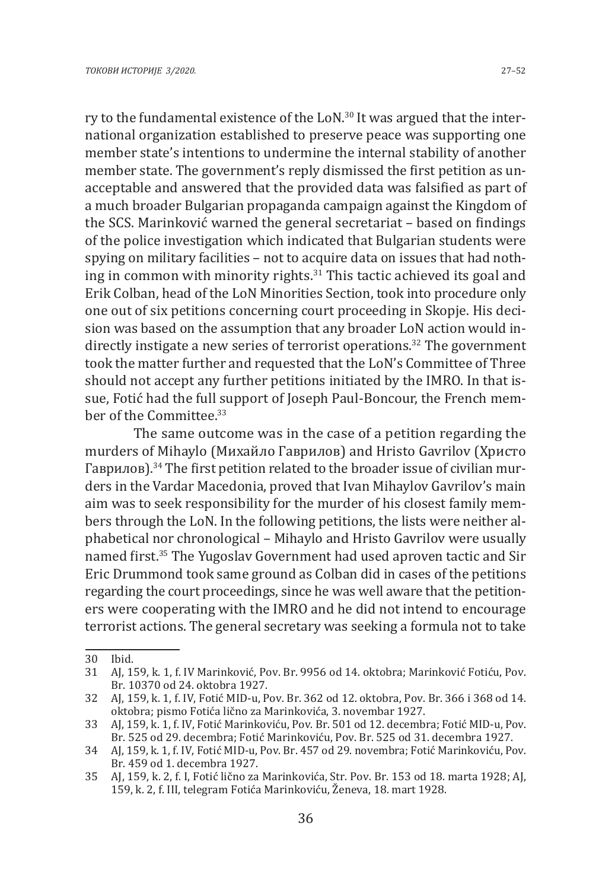ry to the fundamental existence of the LoN.<sup>30</sup> It was argued that the international organization established to preserve peace was supporting one member state's intentions to undermine the internal stability of another member state. The government's reply dismissed the first petition as unacceptable and answered that the provided data was falsified as part of a much broader Bulgarian propaganda campaign against the Kingdom of the SCS. Marinković warned the general secretariat – based on findings of the police investigation which indicated that Bulgarian students were spying on military facilities – not to acquire data on issues that had nothing in common with minority rights.<sup>31</sup> This tactic achieved its goal and Erik Colban, head of the LoN Minorities Section, took into procedure only one out of six petitions concerning court proceeding in Skopje. His decision was based on the assumption that any broader LoN action would indirectly instigate a new series of terrorist operations.<sup>32</sup> The government took the matter further and requested that the LoN's Committee of Three should not accept any further petitions initiated by the IMRO. In that issue, Fotić had the full support of Joseph Paul-Boncour, the French member of the Committee.<sup>33</sup>

The same outcome was in the case of a petition regarding the murders of Mihaylo (Михайло Гаврилов) and Hristo Gavrilov (Христо Гаврилов).34 The first petition related to the broader issue of civilian murders in the Vardar Macedonia, proved that Ivan Mihaylov Gavrilov's main aim was to seek responsibility for the murder of his closest family members through the LoN. In the following petitions, the lists were neither alphabetical nor chronological – Mihaylo and Hristo Gavrilov were usually named first.<sup>35</sup> The Yugoslav Government had used aproven tactic and Sir Eric Drummond took same ground as Colban did in cases of the petitions regarding the court proceedings, since he was well aware that the petitioners were cooperating with the IMRO and he did not intend to encourage terrorist actions. The general secretary was seeking a formula not to take

<sup>30</sup> Ibid.

<sup>31</sup> AJ, 159, k. 1, f. IV Marinković, Pov. Br. 9956 od 14. oktobra; Marinković Fotiću, Pov. Br. 10370 od 24. oktobra 1927.

<sup>32</sup> AJ, 159, k. 1, f. IV, Fotić MID-u, Pov. Br. 362 od 12. oktobra, Pov. Br. 366 i 368 od 14. oktobra; pismo Fotića lično za Marinkovića, 3. novembar 1927.

<sup>33</sup> AJ, 159, k. 1, f. IV, Fotić Marinkoviću, Pov. Br. 501 od 12. decembra; Fotić MID-u, Pov. Br. 525 od 29. decembra; Fotić Marinkoviću, Pov. Br. 525 od 31. decembra 1927.

<sup>34</sup> AJ, 159, k. 1, f. IV, Fotić MID-u, Pov. Br. 457 od 29. novembra; Fotić Marinkoviću, Pov. Br. 459 od 1. decembra 1927.

<sup>35</sup> AJ, 159, k. 2, f. I, Fotić lično za Marinkovića, Str. Pov. Br. 153 od 18. marta 1928; AJ, 159, k. 2, f. III, telegram Fotića Marinkoviću, Ženeva, 18. mart 1928.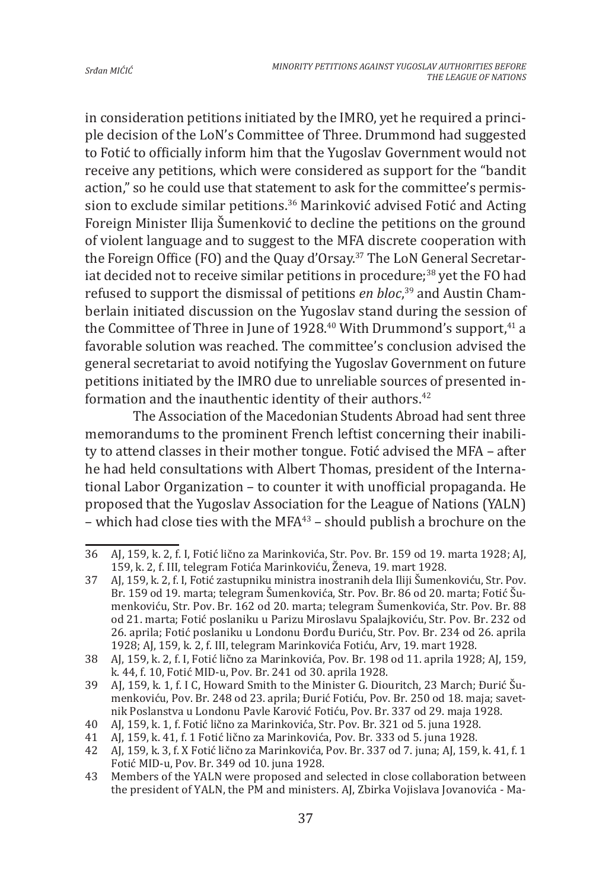in consideration petitions initiated by the IMRO, yet he required a principle decision of the LoN's Committee of Three. Drummond had suggested to Fotić to officially inform him that the Yugoslav Government would not receive any petitions, which were considered as support for the "bandit action," so he could use that statement to ask for the committee's permission to exclude similar petitions.<sup>36</sup> Marinković advised Fotić and Acting Foreign Minister Ilija Šumenković to decline the petitions on the ground of violent language and to suggest to the MFA discrete cooperation with the Foreign Office (FO) and the Quay d'Orsay.37 The LoN General Secretariat decided not to receive similar petitions in procedure; $^{38}$  yet the FO had refused to support the dismissal of petitions *en bloc*, 39 and Austin Chamberlain initiated discussion on the Yugoslav stand during the session of the Committee of Three in June of 1928.<sup>40</sup> With Drummond's support,  $41$  a favorable solution was reached. The committee's conclusion advised the general secretariat to avoid notifying the Yugoslav Government on future petitions initiated by the IMRO due to unreliable sources of presented information and the inauthentic identity of their authors. $42$ 

The Association of the Macedonian Students Abroad had sent three memorandums to the prominent French leftist concerning their inability to attend classes in their mother tongue. Fotić advised the MFA – after he had held consultations with Albert Thomas, president of the International Labor Organization – to counter it with unofficial propaganda. He proposed that the Yugoslav Association for the League of Nations (YALN) – which had close ties with the MFA $43$  – should publish a brochure on the

<sup>36</sup> AJ, 159, k. 2, f. I, Fotić lično za Marinkovića, Str. Pov. Br. 159 od 19. marta 1928; AJ, 159, k. 2, f. III, telegram Fotića Marinkoviću, Ženeva, 19. mart 1928.

<sup>37</sup> AJ, 159, k. 2, f. I, Fotić zastupniku ministra inostranih dela Iliji Šumenkoviću, Str. Pov. Br. 159 od 19. marta; telegram Šumenkovića, Str. Pov. Br. 86 od 20. marta; Fotić Šumenkoviću, Str. Pov. Br. 162 od 20. marta; telegram Šumenkovića, Str. Pov. Br. 88 od 21. marta; Fotić poslaniku u Parizu Miroslavu Spalajkoviću, Str. Pov. Br. 232 od 26. aprila; Fotić poslaniku u Londonu Đorđu Đuriću, Str. Pov. Br. 234 od 26. aprila 1928; AJ, 159, k. 2, f. III, telegram Marinkovića Fotiću, Arv, 19. mart 1928.

<sup>38</sup> AJ, 159, k. 2, f. I, Fotić lično za Marinkovića, Pov. Br. 198 od 11. aprila 1928; AJ, 159, k. 44, f. 10, Fotić MID-u, Pov. Br. 241 od 30. aprila 1928.

<sup>39</sup> AJ, 159, k. 1, f. I C, Howard Smith to the Minister G. Diouritch, 23 March; Đurić Šumenkoviću, Pov. Br. 248 od 23. aprila; Đurić Fotiću, Pov. Br. 250 od 18. maja; savetnik Poslanstva u Londonu Pavle Karović Fotiću, Pov. Br. 337 od 29. maja 1928.

<sup>40</sup> AJ, 159, k. 1, f. Fotić lično za Marinkovića, Str. Pov. Br. 321 od 5. juna 1928.

<sup>41</sup> AJ, 159, k. 41, f. 1 Fotić lično za Marinkovića, Pov. Br. 333 od 5. juna 1928.

<sup>42</sup> AJ, 159, k. 3, f. X Fotić lično za Marinkovića, Pov. Br. 337 od 7. juna; AJ, 159, k. 41, f. 1 Fotić MID-u, Pov. Br. 349 od 10. juna 1928.

<sup>43</sup> Members of the YALN were proposed and selected in close collaboration between the president of YALN, the PM and ministers. AJ, Zbirka Vojislava Jovanovića - Ma-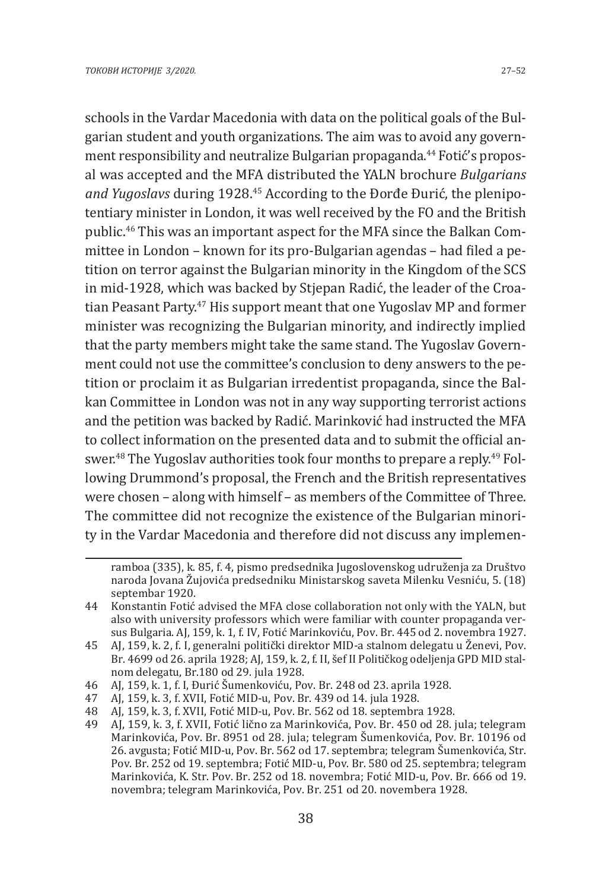schools in the Vardar Macedonia with data on the political goals of the Bulgarian student and youth organizations. The aim was to avoid any government responsibility and neutralize Bulgarian propaganda.<sup>44</sup> Fotić's proposal was accepted and the MFA distributed the YALN brochure *Bulgarians and Yugoslavs* during 1928.45 According to the Đorđe Đurić, the plenipotentiary minister in London, it was well received by the FO and the British public.46 This was an important aspect for the MFA since the Balkan Committee in London – known for its pro-Bulgarian agendas – had filed a petition on terror against the Bulgarian minority in the Kingdom of the SCS in mid-1928, which was backed by Stjepan Radić, the leader of the Croatian Peasant Party.47 His support meant that one Yugoslav MP and former minister was recognizing the Bulgarian minority, and indirectly implied that the party members might take the same stand. The Yugoslav Government could not use the committee's conclusion to deny answers to the petition or proclaim it as Bulgarian irredentist propaganda, since the Balkan Committee in London was not in any way supporting terrorist actions and the petition was backed by Radić. Marinković had instructed the MFA to collect information on the presented data and to submit the official answer.<sup>48</sup> The Yugoslay authorities took four months to prepare a reply.<sup>49</sup> Following Drummond's proposal, the French and the British representatives were chosen – along with himself – as members of the Committee of Three. The committee did not recognize the existence of the Bulgarian minority in the Vardar Macedonia and therefore did not discuss any implemen-

46 AJ, 159, k. 1, f. I, Đurić Šumenkoviću, Pov. Br. 248 od 23. aprila 1928.

48 AJ, 159, k. 3, f. XVII, Fotić MID-u, Pov. Br. 562 od 18. septembra 1928.

ramboa (335), k. 85, f. 4, pismo predsednika Jugoslovenskog udruženja za Društvo naroda Jovana Žujovića predsedniku Ministarskog saveta Milenku Vesniću, 5. (18) septembar 1920.

<sup>44</sup> Konstantin Fotić advised the MFA close collaboration not only with the YALN, but also with university professors which were familiar with counter propaganda versus Bulgaria. AJ, 159, k. 1, f. IV, Fotić Marinkoviću, Pov. Br. 445 od 2. novembra 1927.

<sup>45</sup> AJ, 159, k. 2, f. I, generalni politički direktor MID-a stalnom delegatu u Ženevi, Pov. Br. 4699 od 26. aprila 1928; AJ, 159, k. 2, f. II, šef II Političkog odeljenja GPD MID stalnom delegatu, Br.180 od 29. jula 1928.

<sup>47</sup> AJ, 159, k. 3, f. XVII, Fotić MID-u, Pov. Br. 439 od 14. jula 1928.

<sup>49</sup> AJ, 159, k. 3, f. XVII, Fotić lično za Marinkovića, Pov. Br. 450 od 28. jula; telegram Marinkovića, Pov. Br. 8951 od 28. jula; telegram Šumenkovića, Pov. Br. 10196 od 26. avgusta; Fotić MID-u, Pov. Br. 562 od 17. septembra; telegram Šumenkovića, Str. Pov. Br. 252 od 19. septembra; Fotić MID-u, Pov. Br. 580 od 25. septembra; telegram Marinkovića, K. Str. Pov. Br. 252 od 18. novembra; Fotić MID-u, Pov. Br. 666 od 19. novembra; telegram Marinkovića, Pov. Br. 251 od 20. novembera 1928.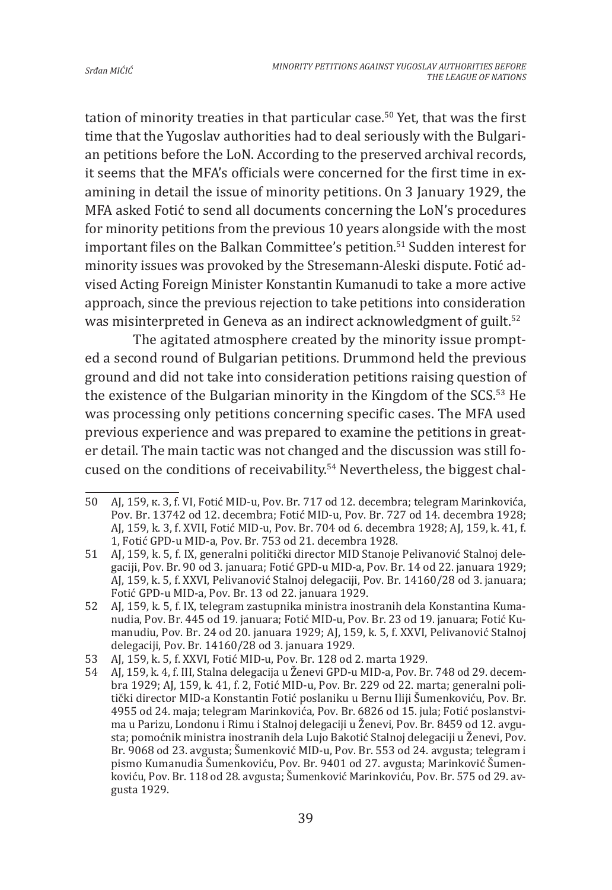tation of minority treaties in that particular case.<sup>50</sup> Yet, that was the first time that the Yugoslav authorities had to deal seriously with the Bulgarian petitions before the LoN. According to the preserved archival records, it seems that the MFA's officials were concerned for the first time in examining in detail the issue of minority petitions. On 3 January 1929, the MFA asked Fotić to send all documents concerning the LoN's procedures for minority petitions from the previous 10 years alongside with the most important files on the Balkan Committee's petition.<sup>51</sup> Sudden interest for minority issues was provoked by the Stresemann-Aleski dispute. Fotić advised Acting Foreign Minister Konstantin Kumanudi to take a more active approach, since the previous rejection to take petitions into consideration was misinterpreted in Geneva as an indirect acknowledgment of guilt.<sup>52</sup>

The agitated atmosphere created by the minority issue prompted a second round of Bulgarian petitions. Drummond held the previous ground and did not take into consideration petitions raising question of the existence of the Bulgarian minority in the Kingdom of the SCS.53 He was processing only petitions concerning specific cases. The MFA used previous experience and was prepared to examine the petitions in greater detail. The main tactic was not changed and the discussion was still focused on the conditions of receivability.54 Nevertheless, the biggest chal-

<sup>50</sup> AJ, 159, к. 3, f. VI, Fotić MID-u, Pov. Br. 717 od 12. decembra; telegram Marinkovića, Pov. Br. 13742 od 12. decembra; Fotić MID-u, Pov. Br. 727 od 14. decembra 1928; AJ, 159, k. 3, f. XVII, Fotić MID-u, Pov. Br. 704 od 6. decembra 1928; AJ, 159, k. 41, f. 1, Fotić GPD-u MID-a, Pov. Br. 753 od 21. decembra 1928.

<sup>51</sup> AJ, 159, k. 5, f. IX, generalni politički director MID Stanoje Pelivanović Stalnoj delegaciji, Pov. Br. 90 od 3. januara; Fotić GPD-u MID-a, Pov. Br. 14 od 22. januara 1929; AJ, 159, k. 5, f. XXVI, Pelivanović Stalnoj delegaciji, Pov. Br. 14160/28 od 3. januara; Fotić GPD-u MID-a, Pov. Br. 13 od 22. januara 1929.

<sup>52</sup> AJ, 159, k. 5, f. IX, telegram zastupnika ministra inostranih dela Konstantina Kumanudia, Pov. Br. 445 od 19. januara; Fotić MID-u, Pov. Br. 23 od 19. januara; Fotić Kumanudiu, Pov. Br. 24 od 20. januara 1929; AJ, 159, k. 5, f. XXVI, Pelivanović Stalnoj delegaciji, Pov. Br. 14160/28 od 3. januara 1929.

<sup>53</sup> AJ, 159, k. 5, f. XXVI, Fotić MID-u, Pov. Br. 128 od 2. marta 1929.

<sup>54</sup> AJ, 159, k. 4, f. III, Stalna delegacija u Ženevi GPD-u MID-a, Pov. Br. 748 od 29. decembra 1929; AJ, 159, k. 41, f. 2, Fotić MID-u, Pov. Br. 229 od 22. marta; generalni politički director MID-a Konstantin Fotić poslaniku u Bernu Iliji Šumenkoviću, Pov. Br. 4955 od 24. maja; telegram Marinkovića, Pov. Br. 6826 od 15. jula; Fotić poslanstvima u Parizu, Londonu i Rimu i Stalnoj delegaciji u Ženevi, Pov. Br. 8459 od 12. avgusta; pomoćnik ministra inostranih dela Lujo Bakotić Stalnoj delegaciji u Ženevi, Pov. Br. 9068 od 23. avgusta; Šumenković MID-u, Pov. Br. 553 od 24. avgusta; telegram i pismo Kumanudia Šumenkoviću, Pov. Br. 9401 od 27. avgusta; Marinković Šumenkoviću, Pov. Br. 118 od 28. avgusta; Šumenković Marinkoviću, Pov. Br. 575 od 29. avgusta 1929.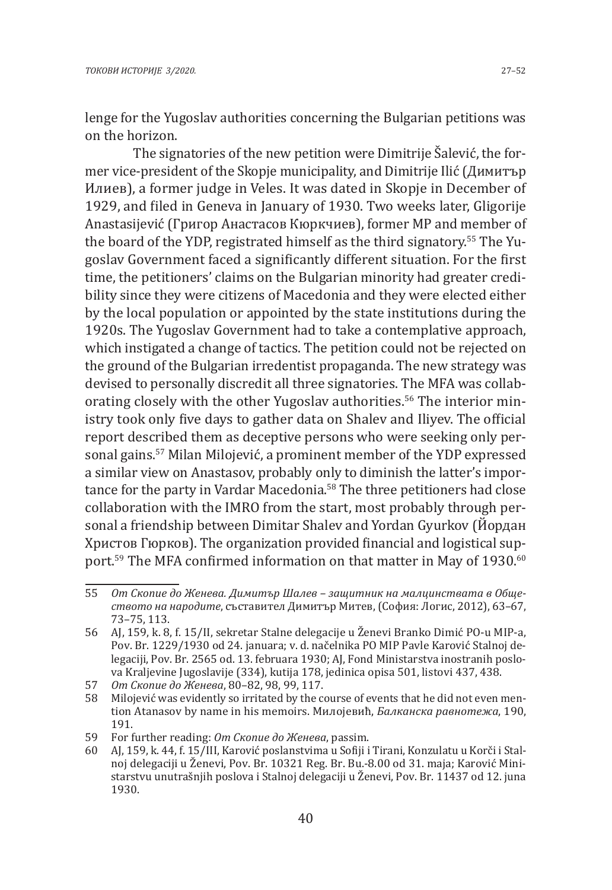lenge for the Yugoslav authorities concerning the Bulgarian petitions was on the horizon.

The signatories of the new petition were Dimitrije Šalević, the former vice-president of the Skopje municipality, and Dimitrije Ilić (Димитър Илиев), a former judge in Veles. It was dated in Skopje in December of 1929, and filed in Geneva in January of 1930. Two weeks later, Gligorije Anastasijević (Григор Анастасов Кюркчиев), former MP and member of the board of the YDP, registrated himself as the third signatory.55 The Yugoslav Government faced a significantly different situation. For the first time, the petitioners' claims on the Bulgarian minority had greater credibility since they were citizens of Macedonia and they were elected either by the local population or appointed by the state institutions during the 1920s. The Yugoslav Government had to take a contemplative approach, which instigated a change of tactics. The petition could not be rejected on the ground of the Bulgarian irredentist propaganda. The new strategy was devised to personally discredit all three signatories. The MFA was collaborating closely with the other Yugoslay authorities.<sup>56</sup> The interior ministry took only five days to gather data on Shalev and Iliyev. The official report described them as deceptive persons who were seeking only personal gains.57 Milan Milojević, a prominent member of the YDP expressed a similar view on Anastasov, probably only to diminish the latter's importance for the party in Vardar Macedonia.<sup>58</sup> The three petitioners had close collaboration with the IMRO from the start, most probably through personal a friendship between Dimitar Shalev and Yordan Gyurkov (Йордан Христов Гюрков). The organization provided financial and logistical support.<sup>59</sup> The MFA confirmed information on that matter in May of 1930.<sup>60</sup>

<sup>55</sup> *От Скопие до Женева. Димитър Шалев – защитник на малцинствата в Обществото на народите*, съставител Димитър Митев, (София: Логис, 2012), 63–67, 73–75, 113.

<sup>56</sup> AJ, 159, k. 8, f. 15/II, sekretar Stalne delegacije u Ženevi Branko Dimić PO-u MIP-a, Pov. Br. 1229/1930 od 24. januara; v. d. načelnika PO MIP Pavle Karović Stalnoj delegaciji, Pov. Br. 2565 od. 13. februara 1930; AJ, Fond Ministarstva inostranih poslova Kraljevine Jugoslavije (334), kutija 178, jedinica opisa 501, listovi 437, 438.

<sup>57</sup> *От Скопие до Женева*, 80–82, 98, 99, 117.

Milojević was evidently so irritated by the course of events that he did not even mention Atanasov by name in his memoirs. Милојевић, *Балканска равнотежа*, 190, 191.

<sup>59</sup> For further reading: *От Скопие до Женева*, passim.

<sup>60</sup> AJ, 159, k. 44, f. 15/III, Karović poslanstvima u Sofiji i Tirani, Konzulatu u Korči i Stalnoj delegaciji u Ženevi, Pov. Br. 10321 Reg. Br. Bu.-8.00 od 31. maja; Karović Ministarstvu unutrašnjih poslova i Stalnoj delegaciji u Ženevi, Pov. Br. 11437 od 12. juna 1930.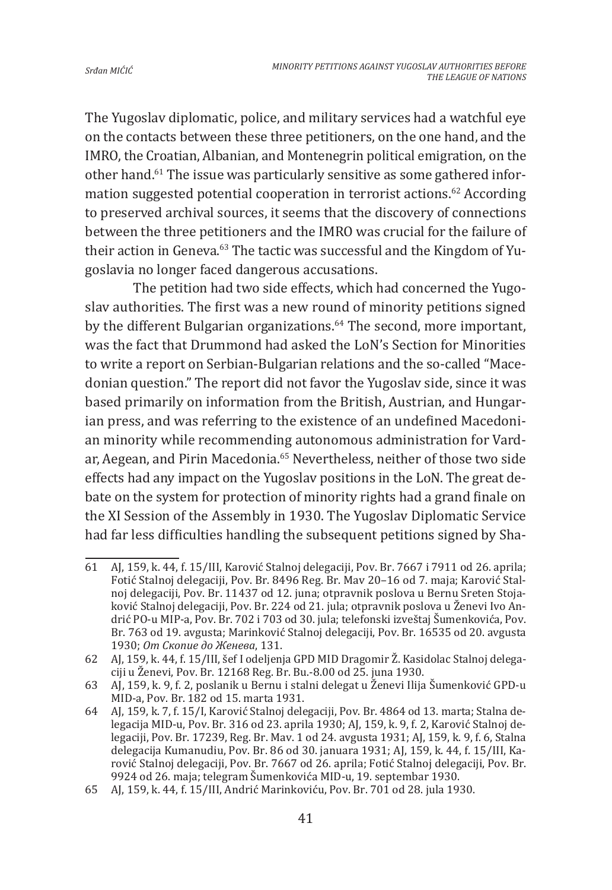The Yugoslav diplomatic, police, and military services had a watchful eye on the contacts between these three petitioners, on the one hand, and the IMRO, the Croatian, Albanian, and Montenegrin political emigration, on the other hand.<sup>61</sup> The issue was particularly sensitive as some gathered information suggested potential cooperation in terrorist actions.<sup>62</sup> According to preserved archival sources, it seems that the discovery of connections between the three petitioners and the IMRO was crucial for the failure of their action in Geneva.63 The tactic was successful and the Kingdom of Yugoslavia no longer faced dangerous accusations.

The petition had two side effects, which had concerned the Yugoslav authorities. The first was a new round of minority petitions signed by the different Bulgarian organizations.<sup>64</sup> The second, more important, was the fact that Drummond had asked the LoN's Section for Minorities to write a report on Serbian-Bulgarian relations and the so-called "Macedonian question." The report did not favor the Yugoslav side, since it was based primarily on information from the British, Austrian, and Hungarian press, and was referring to the existence of an undefined Macedonian minority while recommending autonomous administration for Vardar, Aegean, and Pirin Macedonia.<sup>65</sup> Nevertheless, neither of those two side effects had any impact on the Yugoslav positions in the LoN. The great debate on the system for protection of minority rights had a grand finale on the XI Session of the Assembly in 1930. The Yugoslav Diplomatic Service had far less difficulties handling the subsequent petitions signed by Sha-

<sup>61</sup> AJ, 159, k. 44, f. 15/III, Karović Stalnoj delegaciji, Pov. Br. 7667 i 7911 od 26. aprila; Fotić Stalnoj delegaciji, Pov. Br. 8496 Reg. Br. Mav 20–16 od 7. maja; Karović Stalnoj delegaciji, Pov. Br. 11437 od 12. juna; otpravnik poslova u Bernu Sreten Stojaković Stalnoj delegaciji, Pov. Br. 224 od 21. jula; otpravnik poslova u Ženevi Ivo Andrić PO-u MIP-a, Pov. Br. 702 i 703 od 30. jula; telefonski izveštaj Šumenkovića, Pov. Br. 763 od 19. avgusta; Marinković Stalnoj delegaciji, Pov. Br. 16535 od 20. avgusta 1930; *От Скопие до Женева*, 131.

<sup>62</sup> AJ, 159, k. 44, f. 15/III, šef I odeljenja GPD MID Dragomir Ž. Kasidolac Stalnoj delegaciji u Ženevi, Pov. Br. 12168 Reg. Br. Bu.-8.00 od 25. juna 1930.

<sup>63</sup> AJ, 159, k. 9, f. 2, poslanik u Bernu i stalni delegat u Ženevi Ilija Šumenković GPD-u MID-a, Pov. Br. 182 od 15. marta 1931.

<sup>64</sup> AJ, 159, k. 7, f. 15/I, Karović Stalnoj delegaciji, Pov. Br. 4864 od 13. marta; Stalna delegacija MID-u, Pov. Br. 316 od 23. aprila 1930; AJ, 159, k. 9, f. 2, Karović Stalnoj delegaciji, Pov. Br. 17239, Reg. Br. Mav. 1 od 24. avgusta 1931; AJ, 159, k. 9, f. 6, Stalna delegacija Kumanudiu, Pov. Br. 86 od 30. januara 1931; AJ, 159, k. 44, f. 15/III, Karović Stalnoj delegaciji, Pov. Br. 7667 od 26. aprila; Fotić Stalnoj delegaciji, Pov. Br. 9924 od 26. maja; telegram Šumenkovića MID-u, 19. septembar 1930.

<sup>65</sup> AJ, 159, k. 44, f. 15/III, Andrić Marinkoviću, Pov. Br. 701 od 28. jula 1930.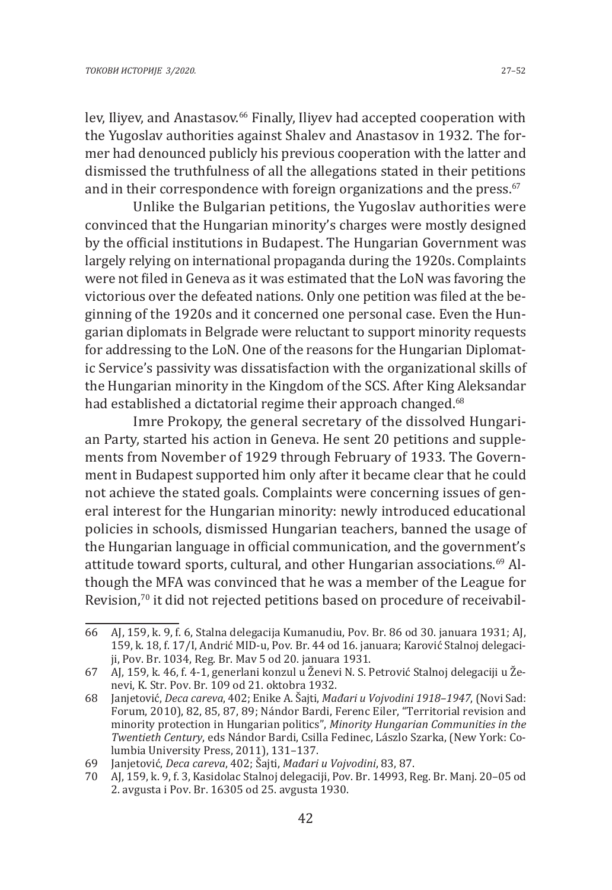lev, Iliyev, and Anastasov.<sup>66</sup> Finally, Iliyev had accepted cooperation with the Yugoslav authorities against Shalev and Anastasov in 1932. The former had denounced publicly his previous cooperation with the latter and dismissed the truthfulness of all the allegations stated in their petitions and in their correspondence with foreign organizations and the press.<sup>67</sup>

Unlike the Bulgarian petitions, the Yugoslav authorities were convinced that the Hungarian minority's charges were mostly designed by the official institutions in Budapest. The Hungarian Government was largely relying on international propaganda during the 1920s. Complaints were not filed in Geneva as it was estimated that the LoN was favoring the victorious over the defeated nations. Only one petition was filed at the beginning of the 1920s and it concerned one personal case. Even the Hungarian diplomats in Belgrade were reluctant to support minority requests for addressing to the LoN. One of the reasons for the Hungarian Diplomatic Service's passivity was dissatisfaction with the organizational skills of the Hungarian minority in the Kingdom of the SCS. After King Aleksandar had established a dictatorial regime their approach changed.<sup>68</sup>

Imre Prokopy, the general secretary of the dissolved Hungarian Party, started his action in Geneva. He sent 20 petitions and supplements from November of 1929 through February of 1933. The Government in Budapest supported him only after it became clear that he could not achieve the stated goals. Complaints were concerning issues of general interest for the Hungarian minority: newly introduced educational policies in schools, dismissed Hungarian teachers, banned the usage of the Hungarian language in official communication, and the government's attitude toward sports, cultural, and other Hungarian associations.<sup>69</sup> Although the MFA was convinced that he was a member of the League for Revision,<sup>70</sup> it did not rejected petitions based on procedure of receivabil-

<sup>66</sup> AJ, 159, k. 9, f. 6, Stalna delegacija Kumanudiu, Pov. Br. 86 od 30. januara 1931; AJ, 159, k. 18, f. 17/I, Andrić MID-u, Pov. Br. 44 od 16. januara; Karović Stalnoj delegaciji, Pov. Br. 1034, Reg. Br. Mav 5 od 20. januara 1931.

<sup>67</sup> AJ, 159, k. 46, f. 4-1, generlani konzul u Ženevi N. S. Petrović Stalnoj delegaciji u Ženevi, K. Str. Pov. Br. 109 od 21. oktobra 1932.

<sup>68</sup> Janjetović, *Deca careva*, 402; Enike A. Šajti, *Mađari u Vojvodini 1918–1947*, (Novi Sad: Forum, 2010), 82, 85, 87, 89; Nándor Bardi, Ferenc Eiler, "Territorial revision and minority protection in Hungarian politics", *Minority Hungarian Communities in the Twentieth Century*, eds Nándor Bardi, Csilla Fedinec, Lászlo Szarka, (New York: Columbia University Press, 2011), 131–137.

<sup>69</sup> Janjetović, *Deca careva*, 402; Šajti, *Mađari u Vojvodini*, 83, 87.

<sup>70</sup> AJ, 159, k. 9, f. 3, Kasidolac Stalnoj delegaciji, Pov. Br. 14993, Reg. Br. Manj. 20–05 od 2. avgusta i Pov. Br. 16305 od 25. avgusta 1930.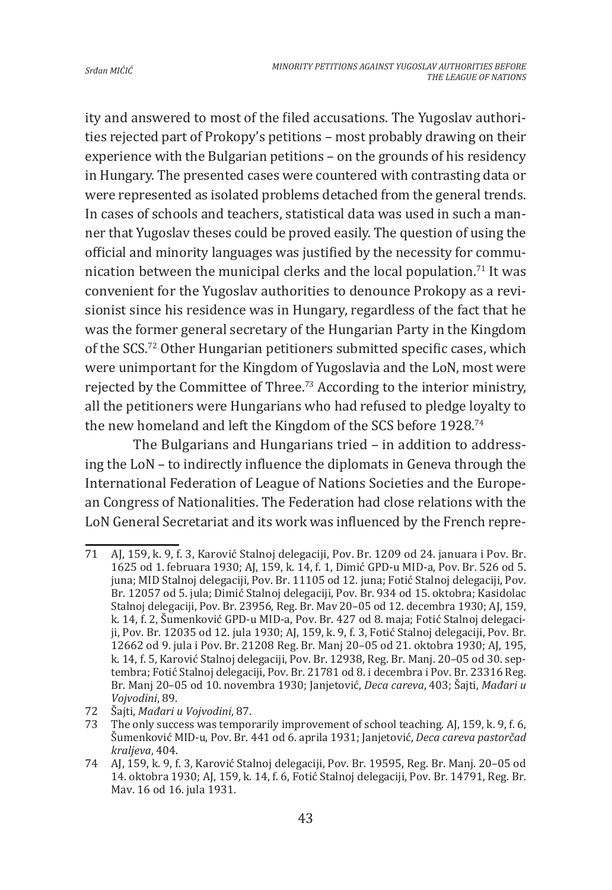ity and answered to most of the filed accusations. The Yugoslav authorities rejected part of Prokopy's petitions – most probably drawing on their experience with the Bulgarian petitions – on the grounds of his residency in Hungary. The presented cases were countered with contrasting data or were represented as isolated problems detached from the general trends. In cases of schools and teachers, statistical data was used in such a manner that Yugoslav theses could be proved easily. The question of using the official and minority languages was justified by the necessity for communication between the municipal clerks and the local population.<sup>71</sup> It was convenient for the Yugoslav authorities to denounce Prokopy as a revisionist since his residence was in Hungary, regardless of the fact that he was the former general secretary of the Hungarian Party in the Kingdom of the SCS.72 Other Hungarian petitioners submitted specific cases, which were unimportant for the Kingdom of Yugoslavia and the LoN, most were rejected by the Committee of Three.<sup>73</sup> According to the interior ministry, all the petitioners were Hungarians who had refused to pledge loyalty to the new homeland and left the Kingdom of the SCS before 1928.74

The Bulgarians and Hungarians tried – in addition to addressing the LoN – to indirectly influence the diplomats in Geneva through the International Federation of League of Nations Societies and the European Congress of Nationalities. The Federation had close relations with the LoN General Secretariat and its work was influenced by the French repre-

<sup>71</sup> AJ, 159, k. 9, f. 3, Karović Stalnoj delegaciji, Pov. Br. 1209 od 24. januara i Pov. Br. 1625 od 1. februara 1930; AJ, 159, k. 14, f. 1, Dimić GPD-u MID-a, Pov. Br. 526 od 5. juna; MID Stalnoj delegaciji, Pov. Br. 11105 od 12. juna; Fotić Stalnoj delegaciji, Pov. Br. 12057 od 5. jula; Dimić Stalnoj delegaciji, Pov. Br. 934 od 15. oktobra; Kasidolac Stalnoj delegaciji, Pov. Br. 23956, Reg. Br. Mav 20–05 od 12. decembra 1930; AJ, 159, k. 14, f. 2, Šumenković GPD-u MID-a, Pov. Br. 427 od 8. maja; Fotić Stalnoj delegaciji, Pov. Br. 12035 od 12. jula 1930; AJ, 159, k. 9, f. 3, Fotić Stalnoj delegaciji, Pov. Br. 12662 od 9. jula i Pov. Br. 21208 Reg. Br. Manj 20–05 od 21. oktobra 1930; AJ, 195, k. 14, f. 5, Karović Stalnoj delegaciji, Pov. Br. 12938, Reg. Br. Manj. 20–05 od 30. septembra; Fotić Stalnoj delegaciji, Pov. Br. 21781 od 8. i decembra i Pov. Br. 23316 Reg. Br. Manj 20–05 od 10. novembra 1930; Janjetović, *Deca careva*, 403; Šajti, *Mađari u Vojvodini*, 89.

<sup>72</sup> Šajti, *Mađari u Vojvodini*, 87.

The only success was temporarily improvement of school teaching. AJ, 159, k. 9, f. 6, Šumenković MID-u, Pov. Br. 441 od 6. aprila 1931; Janjetović, *Deca careva pastorčad kraljeva*, 404.

<sup>74</sup> AJ, 159, k. 9, f. 3, Karović Stalnoj delegaciji, Pov. Br. 19595, Reg. Br. Manj. 20–05 od 14. oktobra 1930; AJ, 159, k. 14, f. 6, Fotić Stalnoj delegaciji, Pov. Br. 14791, Reg. Br. Mav. 16 od 16. jula 1931.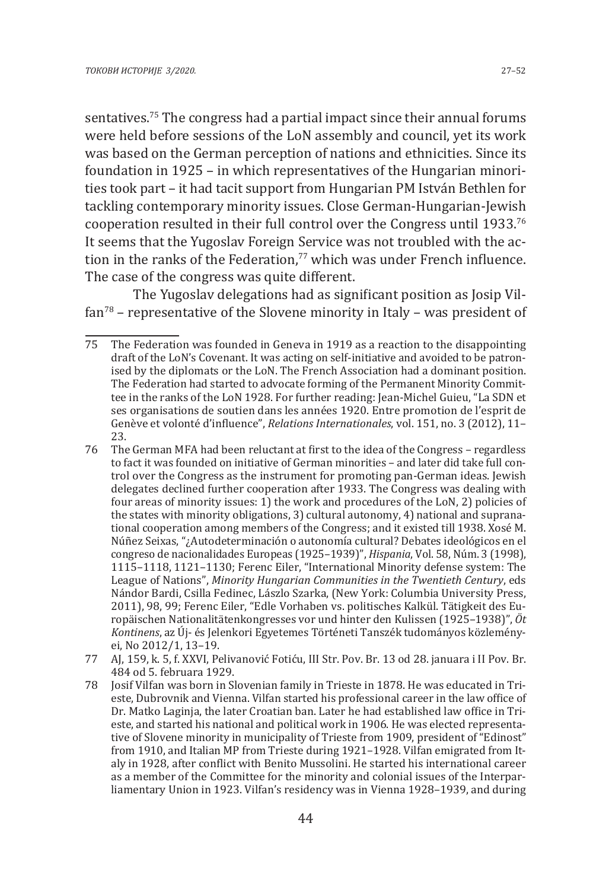sentatives.75 The congress had a partial impact since their annual forums were held before sessions of the LoN assembly and council, yet its work was based on the German perception of nations and ethnicities. Since its foundation in 1925 – in which representatives of the Hungarian minorities took part – it had tacit support from Hungarian PM István Bethlen for tackling contemporary minority issues. Close German-Hungarian-Jewish cooperation resulted in their full control over the Congress until 1933.76 It seems that the Yugoslav Foreign Service was not troubled with the action in the ranks of the Federation.<sup>77</sup> which was under French influence. The case of the congress was quite different.

The Yugoslav delegations had as significant position as Josip Vilfan78 – representative of the Slovene minority in Italy – was president of

- 76 The German MFA had been reluctant at first to the idea of the Congress regardless to fact it was founded on initiative of German minorities – and later did take full control over the Congress as the instrument for promoting pan-German ideas. Jewish delegates declined further cooperation after 1933. The Congress was dealing with four areas of minority issues: 1) the work and procedures of the LoN, 2) policies of the states with minority obligations, 3) cultural autonomy, 4) national and supranational cooperation among members of the Congress; and it existed till 1938. Xosé M. Núñez Seixas, "¿Autodeterminación o autonomía cultural? Debates ideológicos en el congreso de nacionalidades Europeas (1925–1939)ˮ, *Hispania*, Vol. 58, Núm. 3 (1998), 1115–1118, 1121–1130; Ferenc Eiler, "International Minority defense system: The League of Nations", *Minority Hungarian Communities in the Twentieth Century*, eds Nándor Bardi, Csilla Fedinec, Lászlo Szarka, (New York: Columbia University Press, 2011), 98, 99; Ferenc Eiler, "Edle Vorhaben vs. politisches Kalkül. Tätigkeit des Europäischen Nationalitätenkongresses vor und hinter den Kulissen (1925–1938)ˮ, *Öt Kontinens*, az Új- és Jelenkori Egyetemes Történeti Tanszék tudományos közleményei, No 2012/1, 13–19.
- 77 AJ, 159, k. 5, f. XXVI, Pelivanović Fotiću, III Str. Pov. Br. 13 od 28. januara i II Pov. Br. 484 od 5. februara 1929.
- 78 Josif Vilfan was born in Slovenian family in Trieste in 1878. He was educated in Trieste, Dubrovnik and Vienna. Vilfan started his professional career in the law office of Dr. Matko Laginja, the later Croatian ban. Later he had established law office in Trieste, and started his national and political work in 1906. He was elected representative of Slovene minority in municipality of Trieste from 1909, president of "Edinost" from 1910, and Italian MP from Trieste during 1921–1928. Vilfan emigrated from Italy in 1928, after conflict with Benito Mussolini. He started his international career as a member of the Committee for the minority and colonial issues of the Interparliamentary Union in 1923. Vilfan's residency was in Vienna 1928–1939, and during

<sup>75</sup> The Federation was founded in Geneva in 1919 as a reaction to the disappointing draft of the LoN's Covenant. It was acting on self-initiative and avoided to be patronised by the diplomats or the LoN. The French Association had a dominant position. The Federation had started to advocate forming of the Permanent Minority Committee in the ranks of the LoN 1928. For further reading: Jean-Michel Guieu, "La SDN et ses organisations de soutien dans les années 1920. Entre promotion de l'esprit de Genèvе et volonté d'influence", *Relations Internationales*, vol. 151, no. 3 (2012), 11– 23.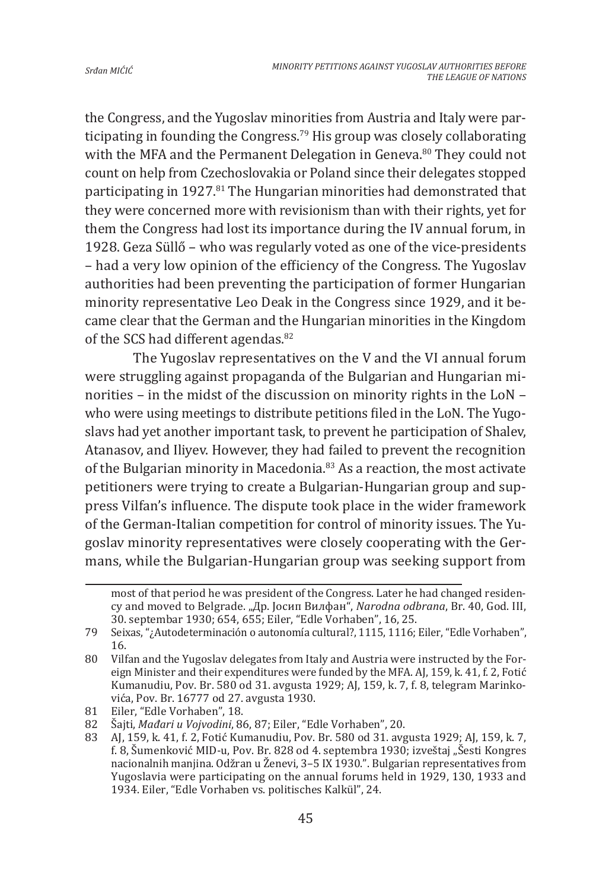the Congress, and the Yugoslav minorities from Austria and Italy were participating in founding the Congress.79 His group was closely collaborating with the MFA and the Permanent Delegation in Geneva.<sup>80</sup> They could not count on help from Czechoslovakia or Poland since their delegates stopped participating in 1927.<sup>81</sup> The Hungarian minorities had demonstrated that they were concerned more with revisionism than with their rights, yet for them the Congress had lost its importance during the IV annual forum, in 1928. Geza Süllő – who was regularly voted as one of the vice-presidents – had a very low opinion of the efficiency of the Congress. The Yugoslav authorities had been preventing the participation of former Hungarian minority representative Leo Deak in the Congress since 1929, and it became clear that the German and the Hungarian minorities in the Kingdom of the SCS had different agendas.<sup>82</sup>

The Yugoslav representatives on the V and the VI annual forum were struggling against propaganda of the Bulgarian and Hungarian minorities – in the midst of the discussion on minority rights in the LoN – who were using meetings to distribute petitions filed in the LoN. The Yugoslavs had yet another important task, to prevent he participation of Shalev, Atanasov, and Iliyev. However, they had failed to prevent the recognition of the Bulgarian minority in Macedonia.<sup>83</sup> As a reaction, the most activate petitioners were trying to create a Bulgarian-Hungarian group and suppress Vilfan's influence. The dispute took place in the wider framework of the German-Italian competition for control of minority issues. The Yugoslav minority representatives were closely cooperating with the Germans, while the Bulgarian-Hungarian group was seeking support from

most of that period he was president of the Congress. Later he had changed residency and moved to Belgrade. "Др. Јосип Вилфан", *Narodna odbrana*, Br. 40, God. III, 30. septembar 1930; 654, 655; Eiler, "Edle Vorhabenˮ, 16, 25.

<sup>79</sup> Seixas, "¿Autodeterminación o autonomía cultural?, 1115, 1116; Eiler, "Edle Vorhabenˮ, 16.

<sup>80</sup> Vilfan and the Yugoslav delegates from Italy and Austria were instructed by the Foreign Minister and their expenditures were funded by the MFA. AJ, 159, k. 41, f. 2, Fotić Kumanudiu, Pov. Br. 580 od 31. avgusta 1929; AJ, 159, k. 7, f. 8, telegram Marinkovića, Pov. Br. 16777 od 27. avgusta 1930.

<sup>81</sup> Eiler, "Edle Vorhaben", 18.<br>82 Šaiti. Mađari u Voivodini. 8

Šajti, Mađari u Vojvodini, 86, 87; Eiler, "Edle Vorhaben", 20.

<sup>83</sup> AJ, 159, k. 41, f. 2, Fotić Kumanudiu, Pov. Br. 580 od 31. avgusta 1929; AJ, 159, k. 7, f. 8, Šumenković MID-u, Pov. Br. 828 od 4. septembra 1930; izveštaj "Šesti Kongres nacionalnih manjina. Odžran u Ženevi, 3–5 IX 1930.". Bulgarian representatives from Yugoslavia were participating on the annual forums held in 1929, 130, 1933 and 1934. Eiler, "Edle Vorhaben vs. politisches Kalkül", 24.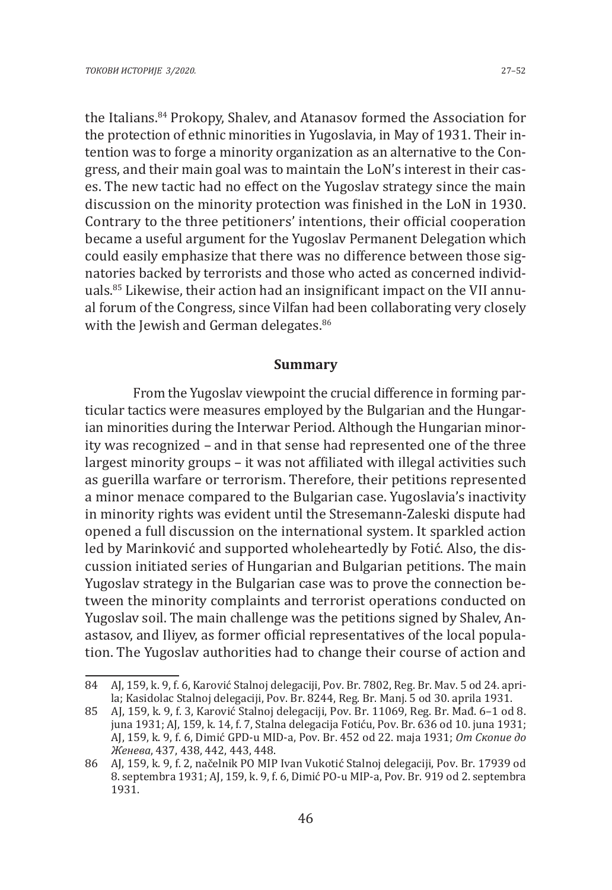the Italians.<sup>84</sup> Prokopy, Shalev, and Atanasov formed the Association for the protection of ethnic minorities in Yugoslavia, in May of 1931. Their intention was to forge a minority organization as an alternative to the Congress, and their main goal was to maintain the LoN's interest in their cases. The new tactic had no effect on the Yugoslav strategy since the main discussion on the minority protection was finished in the LoN in 1930. Contrary to the three petitioners' intentions, their official cooperation became a useful argument for the Yugoslav Permanent Delegation which could easily emphasize that there was no difference between those signatories backed by terrorists and those who acted as concerned individuals.85 Likewise, their action had an insignificant impact on the VII annual forum of the Congress, since Vilfan had been collaborating very closely with the Jewish and German delegates.<sup>86</sup>

### **Summary**

From the Yugoslav viewpoint the crucial difference in forming particular tactics were measures employed by the Bulgarian and the Hungarian minorities during the Interwar Period. Although the Hungarian minority was recognized – and in that sense had represented one of the three largest minority groups – it was not affiliated with illegal activities such as guerilla warfare or terrorism. Therefore, their petitions represented a minor menace compared to the Bulgarian case. Yugoslavia's inactivity in minority rights was evident until the Stresemann-Zaleski dispute had opened a full discussion on the international system. It sparkled action led by Marinković and supported wholeheartedly by Fotić. Also, the discussion initiated series of Hungarian and Bulgarian petitions. The main Yugoslav strategy in the Bulgarian case was to prove the connection between the minority complaints and terrorist operations conducted on Yugoslav soil. The main challenge was the petitions signed by Shalev, Anastasov, and Iliyev, as former official representatives of the local population. The Yugoslav authorities had to change their course of action and

<sup>84</sup> AJ, 159, k. 9, f. 6, Karović Stalnoj delegaciji, Pov. Br. 7802, Reg. Br. Mav. 5 od 24. aprila; Kasidolac Stalnoj delegaciji, Pov. Br. 8244, Reg. Br. Manj. 5 od 30. aprila 1931.

<sup>85</sup> AJ, 159, k. 9, f. 3, Karović Stalnoj delegaciji, Pov. Br. 11069, Reg. Br. Mađ. 6–1 od 8. juna 1931; AJ, 159, k. 14, f. 7, Stalna delegacija Fotiću, Pov. Br. 636 od 10. juna 1931; AJ, 159, k. 9, f. 6, Dimić GPD-u MID-a, Pov. Br. 452 od 22. maja 1931; *От Скопие до Женева*, 437, 438, 442, 443, 448.

<sup>86</sup> AJ, 159, k. 9, f. 2, načelnik PO MIP Ivan Vukotić Stalnoj delegaciji, Pov. Br. 17939 od 8. septembra 1931; AJ, 159, k. 9, f. 6, Dimić PO-u MIP-a, Pov. Br. 919 od 2. septembra 1931.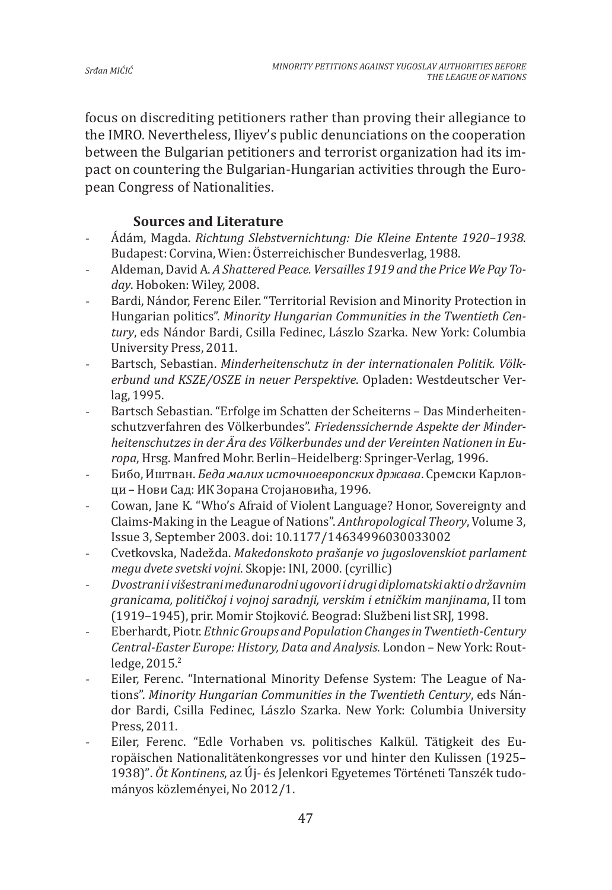focus on discrediting petitioners rather than proving their allegiance to the IMRO. Nevertheless, Iliyev's public denunciations on the cooperation between the Bulgarian petitioners and terrorist organization had its impact on countering the Bulgarian-Hungarian activities through the European Congress of Nationalities.

## **Sources and Literature**

- Ádám, Magda. *Richtung Slebstvernichtung: Die Kleine Entente 1920–1938*. Budapest: Corvina, Wien: Österreichischer Bundesverlag, 1988.
- Aldeman, David A. *A Shattered Peace. Versailles 1919 and the Price We Pay Today*. Hoboken: Wiley, 2008.
- Bardi, Nándor, Ferenc Eiler. "Territorial Revision and Minority Protection in Hungarian politics". *Minority Hungarian Communities in the Twentieth Century*, eds Nándor Bardi, Csilla Fedinec, Lászlo Szarka. New York: Columbia University Press, 2011.
- Bartsch, Sebastian. *Minderheitenschutz in der internationalen Politik. Völkerbund und KSZE/OSZE in neuer Perspektive*. Opladen: Westdeutscher Verlag, 1995.
- Bartsch Sebastian. "Erfolge im Schatten der Scheiterns Das Minderheitenschutzverfahren des Völkerbundes". *Friedenssichernde Aspekte der Minderheitenschutzes in der Ära des Völkerbundes und der Vereinten Nationen in Europa*, Hrsg. Manfred Mohr. Berlin–Heidelberg: Springer-Verlag, 1996.
- Бибо, Иштван. *Беда малих источноевропских држава*. Сремски Карловци – Нови Сад: ИК Зорана Стојановића, 1996.
- Cowan, Jane K. "Who's Afraid of Violent Language? Honor, Sovereignty and Claims-Making in the League of Nations". *Anthropological Theory*, Volume 3, Issue 3, September 2003. doi: 10.1177/14634996030033002
- Cvetkovska, Nadežda. *Makedonskoto prašanje vo jugoslovenskiot parlament megu dvete svetski vojni*. Skopje: INI, 2000. (cyrillic)
- *Dvostrani i višestrani međunarodni ugovori i drugi diplomatski akti o državnim granicama, političkoj i vojnoj saradnji, verskim i etničkim manjinama*, II tom (1919–1945), prir. Momir Stojković. Beograd: Službeni list SRJ, 1998.
- Eberhardt, Piotr. *Ethnic Groups and Population Changes in Twentieth-Century Central-Easter Europe: History, Data and Analysis*. London – New York: Routledge, 2015.<sup>2</sup>
- Eiler, Ferenc. "International Minority Defense System: The League of Nations". *Minority Hungarian Communities in the Twentieth Century*, eds Nándor Bardi, Csilla Fedinec, Lászlo Szarka. New York: Columbia University Press, 2011.
- Eiler, Ferenc. "Edle Vorhaben vs. politisches Kalkül. Tätigkeit des Europäischen Nationalitätenkongresses vor und hinter den Kulissen (1925– 1938)ˮ. *Öt Kontinens*, az Új- és Jelenkori Egyetemes Történeti Tanszék tudományos közleményei, No 2012/1.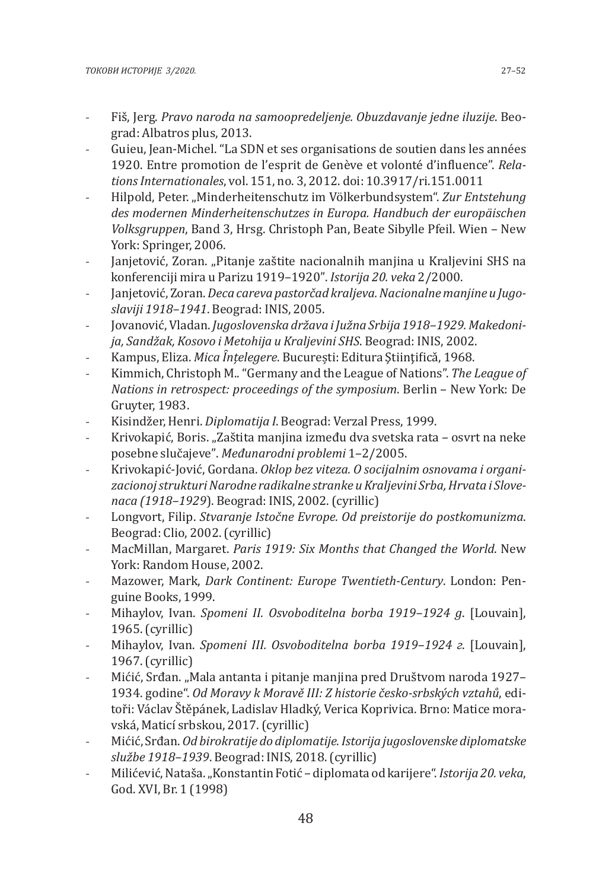- Fiš, Jerg. *Pravo naroda na samoopredeljenje. Obuzdavanje jedne iluzije*. Beograd: Albatros plus, 2013.
- Guieu, Jean-Michel. "La SDN et ses organisations de soutien dans les années 1920. Entre promotion de l'esprit de Genève et volonté d'influence". *Relations Internationales*, vol. 151, no. 3, 2012. doi: 10.3917/ri.151.0011
- Hilpold, Peter. "Minderheitenschutz im Völkerbundsystem". *Zur Entstehung des modernen Minderheitenschutzes in Europa. Handbuch der europäischen Volksgruppen*, Band 3, Hrsg. Christoph Pan, Beate Sibylle Pfeil. Wien – New York: Springer, 2006.
- Janjetović, Zoran. "Pitanje zaštite nacionalnih manjina u Kraljevini SHS na konferenciji mira u Parizu 1919–1920ˮ. *Istorija 20. veka* 2/2000.
- Janjetović, Zoran. *Deca careva pastorčad kraljeva. Nacionalne manjine u Jugoslaviji 1918–1941*. Beograd: INIS, 2005.
- Jovanović, Vladan. *Jugoslovenska država i Južna Srbija 1918–1929. Makedonija, Sandžak, Kosovo i Metohija u Kraljevini SHS*. Beograd: INIS, 2002.
- Kampus, Eliza. *Mica Ȋnțelegere*. București: Editura Ştiinţificǎ, 1968.
- Kimmich, Christoph M.. "Germany and the League of Nations". *The League of Nations in retrospect: proceedings of the symposium*. Berlin – New York: De Gruyter, 1983.
- Kisindžer, Henri. *Diplomatija I*. Beograd: Verzal Press, 1999.
- Krivokapić, Boris. "Zaštita manjina između dva svetska rata osvrt na neke posebne slučajeveˮ. *Međunarodni problemi* 1–2/2005.
- Krivokapić-Jović, Gordana. *Oklop bez viteza. O socijalnim osnovama i organizacionoj strukturi Narodne radikalne stranke u Kraljevini Srba, Hrvata i Slovenaca (1918–1929*). Beograd: INIS, 2002. (cyrillic)
- Longvort, Filip. *Stvaranje Istočne Evrope. Od preistorije do postkomunizma*. Beograd: Clio, 2002. (cyrillic)
- MacMillan, Margaret. *Paris 1919: Six Months that Changed the World*. New York: Random House, 2002.
- Mazower, Mark, *Dark Continent: Europe Twentieth-Century*. London: Penguine Books, 1999.
- Mihaylov, Ivan. *Spomeni II. Osvoboditelna borba 1919–1924 g*. [Louvain], 1965. (cyrillic)
- Mihaylov, Ivan. *Spomeni III. Osvoboditelna borba 1919–1924 г*. [Louvain], 1967. (cyrillic)
- Mićić, Srđan. "Mala antanta i pitanje manjina pred Društvom naroda 1927– 1934. godine". *Od Moravy k Moravě III: Z historie česko-srbských vztahů*, editoři: Václav Štěpánek, Ladislav Hladký, Verica Koprivica. Brno: Matice moravská, Maticí srbskou, 2017. (cyrillic)
- Mićić, Srđan. *Od birokratije do diplomatije. Istorija jugoslovenske diplomatske službe 1918–1939*. Beograd: INIS, 2018. (cyrillic)
- Milićević, Nataša. "Konstantin Fotić diplomata od karijere". *Istorija 20. veka*, God. XVI, Br. 1 (1998)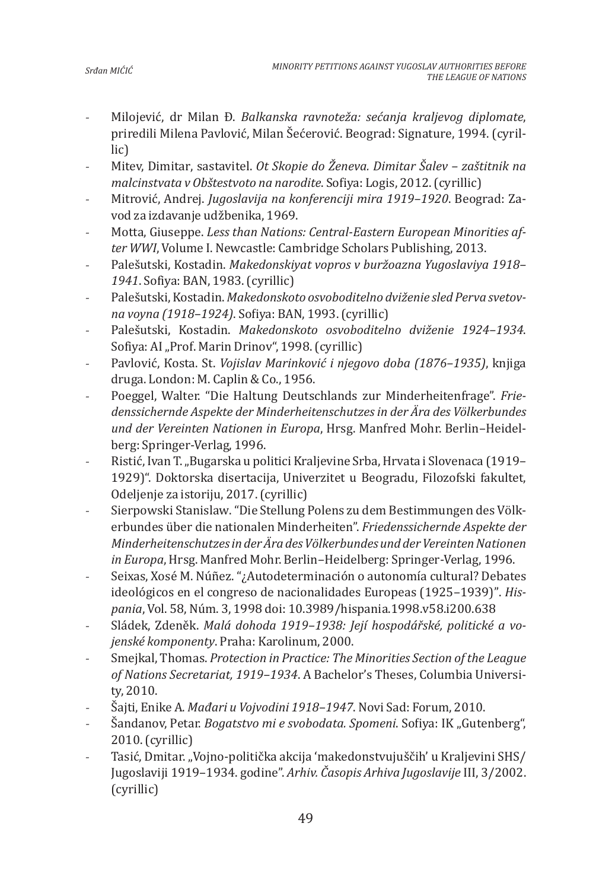- Milojević, dr Milan Đ. *Balkanska ravnoteža: sećanja kraljevog diplomate*, priredili Milena Pavlović, Milan Šećerović. Beograd: Signature, 1994. (cyrillic)
- Mitev, Dimitar, sastavitel. *Ot Skopie do Ženeva. Dimitar Šalev zaštitnik na malcinstvata v Obštestvoto na narodite*. Sofiya: Logis, 2012. (cyrillic)
- Mitrović, Andrej. *Jugoslavija na konferenciji mira 1919–1920*. Beograd: Zavod za izdavanje udžbenika, 1969.
- Motta, Giuseppe. Less than Nations: Central-Eastern European Minorities af*ter WWI*, Volume I. Newcastle: Cambridge Scholars Publishing, 2013.
- Palešutski, Kostadin. *Makedonskiyat vopros v buržoazna Yugoslaviya 1918– 1941*. Sofiya: BAN, 1983. (cyrillic)
- Palešutski, Kostadin. *Makedonskoto osvoboditelno dviženie sled Perva svetovna voyna (1918–1924)*. Sofiya: BAN, 1993. (cyrillic)
- Palešutski, Kostadin. *Makedonskoto osvoboditelno dviženie 1924–1934*. Sofiya: AI "Prof. Marin Drinov", 1998. (cyrillic)
- Pavlović, Кosta. St. *Vojislav Marinković i njegovo doba (1876–1935)*, knjiga druga. London: M. Caplin & Co., 1956.
- Poeggel, Walter. "Die Haltung Deutschlands zur Minderheitenfrage". *Friedenssichernde Aspekte der Minderheitenschutzes in der Ära des Völkerbundes und der Vereinten Nationen in Europa*, Hrsg. Manfred Mohr. Berlin–Heidelberg: Springer-Verlag, 1996.
- Ristić, Ivan T. "Bugarska u politici Kraljevine Srba, Hrvata i Slovenaca (1919– 1929)". Doktorska disertacija, Univerzitet u Beogradu, Filozofski fakultet, Odeljenje za istoriju, 2017. (cyrillic)
- Sierpowski Stanislaw. "Die Stellung Polens zu dem Bestimmungen des Völkerbundes über die nationalen Minderheiten". *Friedenssichernde Aspekte der Minderheitenschutzesinder ÄradesVölkerbundesund derVereintenNationen in Europa*, Hrsg. Manfred Mohr. Berlin–Heidelberg: Springer-Verlag, 1996.
- Seixas, Xosé M. Núñez. "¿Autodeterminación o autonomía cultural? Debates ideológicos en el congreso de nacionalidades Europeas (1925-1939)". *Hispania*, Vol. 58, Núm. 3, 1998 doi: 10.3989/hispania.1998.v58.i200.638
- Sládek, Zdeněk. *Malá dohoda 1919–1938: Její hospodářské, politické a vojenské komponenty*. Praha: Karolinum, 2000.
- Smejkal, Thomas. *Protection in Practice: The Minorities Section of the League of Nations Secretariat, 1919–1934*. A Bachelor's Theses, Columbia University, 2010.
- Šajti, Enike A. *Mađari u Vojvodini 1918–1947*. Novi Sad: Forum, 2010.
- Sandanov, Petar. *Bogatstvo mi e svobodata. Spomeni*. Sofiya: IK "Gutenberg", 2010. (cyrillic)
- Tasić, Dmitar. "Vojno-politička akcija 'makedonstvujuščih' u Kraljevini SHS/ Jugoslaviji 1919–1934. godine". *Arhiv. Časopis Arhiva Jugoslavije* III, 3/2002. (cyrillic)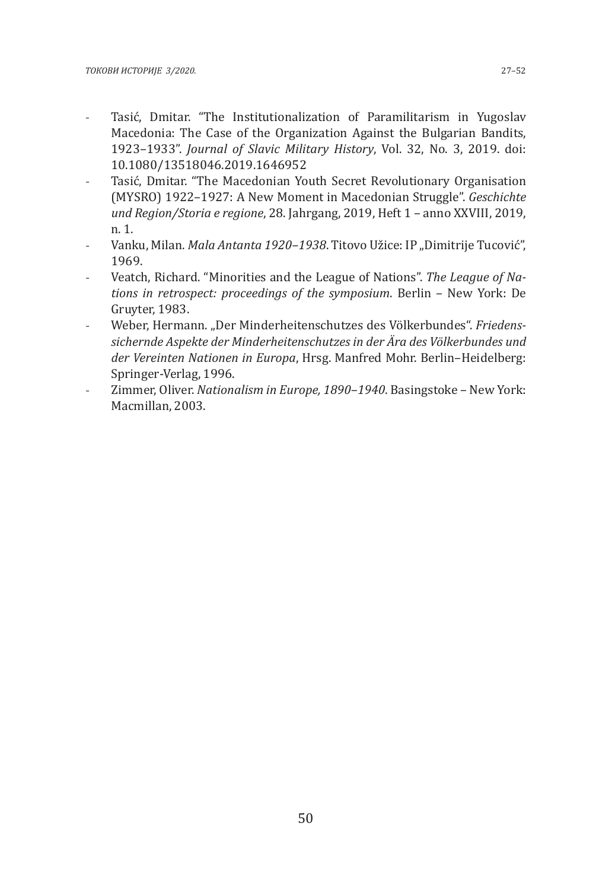- Tasić, Dmitar. "The Institutionalization of Paramilitarism in Yugoslav Macedonia: The Case of the Organization Against the Bulgarian Bandits, 1923–1933". *Journal of Slavic Military History*, Vol. 32, No. 3, 2019. doi: 10.1080/13518046.2019.1646952
- Tasić, Dmitar. "The Macedonian Youth Secret Revolutionary Organisation (MYSRO) 1922–1927: A New Moment in Macedonian Struggle". *Geschichte und Region/Storia e regione*, 28. Jahrgang, 2019, Heft 1 – anno XXVIII, 2019, n. 1.
- Vanku, Milan. *Mala Antanta 1920-1938*. Titovo Užice: IP "Dimitrije Tucović", 1969.
- Veatch, Richard. "Minorities and the League of Nations". *The League of Nations in retrospect: proceedings of the symposium*. Berlin – New York: De Gruyter, 1983.
- Weber, Hermann. "Der Minderheitenschutzes des Völkerbundes". *Friedenssichernde Aspekte der Minderheitenschutzes in der Ära des Völkerbundes und der Vereinten Nationen in Europa*, Hrsg. Manfred Mohr. Berlin–Heidelberg: Springer-Verlag, 1996.
- Zimmer, Oliver. *Nationalism in Europe, 1890–1940*. Basingstoke New York: Macmillan, 2003.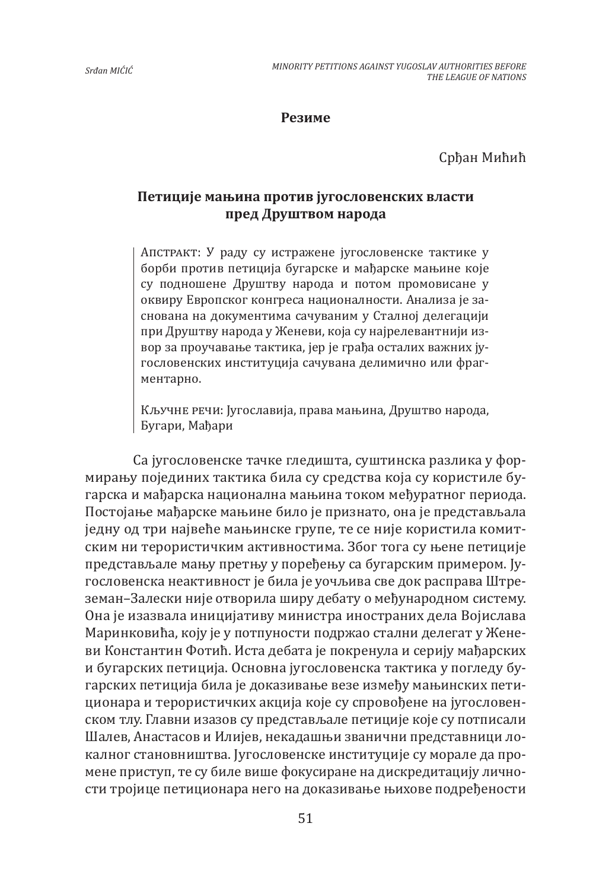#### **Резиме**

Срђан Мићић

## **Петиције мањинa против југословенских власти пред Друштвом народа**

Апстракт: У раду су истражене југословенске тактике у борби против петиција бугарскe и мађарскe мањинe које су подношене Друштву народа и потом промовисане у оквиру Европског конгреса националности. Анализа је заснована на документима сачуваним у Сталној делегацији при Друштву народа у Женеви, која су најрелевантнији извор за проучавање тактика, јер је грађа осталих важних југословенских институција сачувана делимично или фрагментарно.

Кључне речи: Југославија, права мањина, Друштво народа, Бугари, Мађари

Са југословенске тачке гледишта, суштинска разлика у формирању појединих тактика била су средства која су користиле бугарска и мађарска национална мањина током међуратног периода. Постојање мађарске мањине било је признато, она је представљала једну од три највеће мањинске групе, те се није користила комитским ни терористичким активностима. Због тога су њене петиције представљале мању претњу у поређењу са бугарским примером. Југословенска неактивност је била је уочљива све док расправа Штреземан–Залески није отворила ширу дебату о међународном систему. Она је изазвала иницијативу министра иностраних дела Војислава Маринковића, коју је у потпуности подржао стални делегат у Женеви Константин Фотић. Иста дебата је покренула и серију мађарских и бугарских петиција. Основна југословенска тактика у погледу бугарских петиција била је доказивање везе између мањинских петиционара и терористичких акција које су спровођене на југословенском тлу. Главни изазов су представљале петиције које су потписали Шалев, Анастасов и Илијев, некадашњи званични представници локалног становништва. Југословенске институције су морале да промене приступ, те су биле више фокусиране на дискредитацију личности тројице петиционара него на доказивање њихове подређености